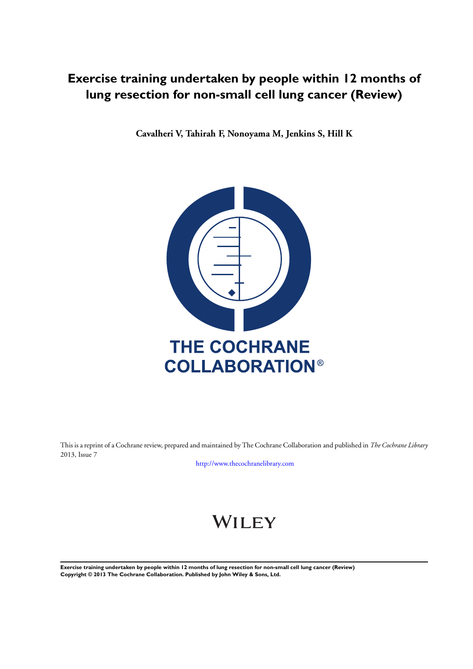## **Exercise training undertaken by people within 12 months of lung resection for non-small cell lung cancer (Review)**

**Cavalheri V, Tahirah F, Nonoyama M, Jenkins S, Hill K**



This is a reprint of a Cochrane review, prepared and maintained by The Cochrane Collaboration and published in *The Cochrane Library* 2013, Issue 7

http://www.thecochranelibrary.com

# WILEY

**Exercise training undertaken by people within 12 months of lung resection for non-small cell lung cancer (Review) Copyright © 2013 The Cochrane Collaboration. Published by John Wiley & Sons, Ltd.**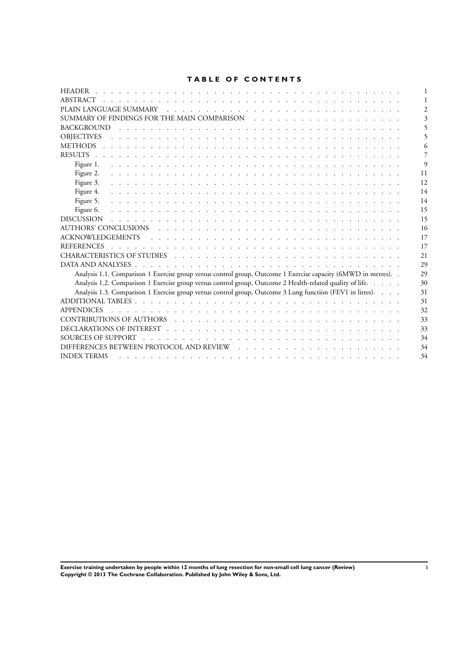## **TABLE OF CONTENTS**

| <b>HEADER</b>                                                                                                                                                                                                                                                   |
|-----------------------------------------------------------------------------------------------------------------------------------------------------------------------------------------------------------------------------------------------------------------|
| ABSTRACT                                                                                                                                                                                                                                                        |
|                                                                                                                                                                                                                                                                 |
|                                                                                                                                                                                                                                                                 |
| <b>BACKGROUND</b>                                                                                                                                                                                                                                               |
| <b>OBJECTIVES</b>                                                                                                                                                                                                                                               |
|                                                                                                                                                                                                                                                                 |
| RESULTS.                                                                                                                                                                                                                                                        |
| Figure 1.                                                                                                                                                                                                                                                       |
| Figure 2.<br>11                                                                                                                                                                                                                                                 |
| Figure 3.<br>12                                                                                                                                                                                                                                                 |
| Figure 4.<br>14                                                                                                                                                                                                                                                 |
| 14<br>Figure 5.                                                                                                                                                                                                                                                 |
| Figure 6.<br>15                                                                                                                                                                                                                                                 |
| <b>DISCUSSION</b><br>15                                                                                                                                                                                                                                         |
| 16                                                                                                                                                                                                                                                              |
| <b>ACKNOWLEDGEMENTS</b><br>17<br>and the contract of the contract of the contract of the contract of the contract of the contract of the contract of the contract of the contract of the contract of the contract of the contract of the contract of the contra |
| <b>REFERENCES</b><br>17<br>a construction of the construction of the construction of the construction of the construction of the construction                                                                                                                   |
| 21                                                                                                                                                                                                                                                              |
| 29                                                                                                                                                                                                                                                              |
| Analysis 1.1. Comparison 1 Exercise group versus control group, Outcome 1 Exercise capacity (6MWD in metres). .<br>29                                                                                                                                           |
| Analysis 1.2. Comparison 1 Exercise group versus control group, Outcome 2 Health-related quality of life.<br>30                                                                                                                                                 |
| Analysis 1.3. Comparison 1 Exercise group versus control group, Outcome 3 Lung function (FEV1 in litres).<br>31                                                                                                                                                 |
| 31                                                                                                                                                                                                                                                              |
| <b>APPENDICES</b><br>32                                                                                                                                                                                                                                         |
| CONTRIBUTIONS OF AUTHORS (experience of the contract of the contract of the contract of the contract of the contract of the contract of the contract of the contract of the contract of the contract of the contract of the co<br>33                            |
| 33                                                                                                                                                                                                                                                              |
| <b>SOURCES OF SUPPORT</b><br>34<br>and the company of the company of the company of the company of the company of the company of the company of the                                                                                                             |
| 34                                                                                                                                                                                                                                                              |
| <b>INDEX TERMS</b><br>34                                                                                                                                                                                                                                        |

**Exercise training undertaken by people within 12 months of lung resection for non-small cell lung cancer (Review) i Copyright © 2013 The Cochrane Collaboration. Published by John Wiley & Sons, Ltd.**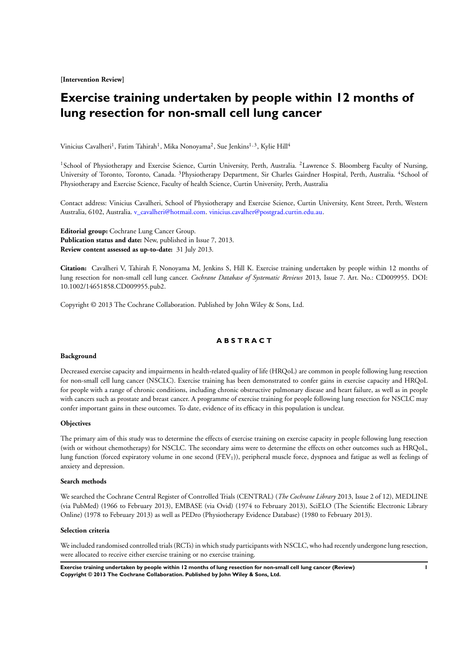**[Intervention Review]**

## **Exercise training undertaken by people within 12 months of lung resection for non-small cell lung cancer**

Vinicius Cavalheri<sup>1</sup>, Fatim Tahirah<sup>1</sup>, Mika Nonoyama<sup>2</sup>, Sue Jenkins<sup>1,3</sup>, Kylie Hill<sup>4</sup>

<sup>1</sup>School of Physiotherapy and Exercise Science, Curtin University, Perth, Australia. <sup>2</sup>Lawrence S. Bloomberg Faculty of Nursing, University of Toronto, Toronto, Canada. <sup>3</sup>Physiotherapy Department, Sir Charles Gairdner Hospital, Perth, Australia. <sup>4</sup>School of Physiotherapy and Exercise Science, Faculty of health Science, Curtin University, Perth, Australia

Contact address: Vinicius Cavalheri, School of Physiotherapy and Exercise Science, Curtin University, Kent Street, Perth, Western Australia, 6102, Australia. v\_cavalheri@hotmail.com. vinicius.cavalher@postgrad.curtin.edu.au.

**Editorial group:** Cochrane Lung Cancer Group. **Publication status and date:** New, published in Issue 7, 2013. **Review content assessed as up-to-date:** 31 July 2013.

**Citation:** Cavalheri V, Tahirah F, Nonoyama M, Jenkins S, Hill K. Exercise training undertaken by people within 12 months of lung resection for non-small cell lung cancer. *Cochrane Database of Systematic Reviews* 2013, Issue 7. Art. No.: CD009955. DOI: 10.1002/14651858.CD009955.pub2.

Copyright © 2013 The Cochrane Collaboration. Published by John Wiley & Sons, Ltd.

## **ABSTRACT**

#### **Background**

Decreased exercise capacity and impairments in health-related quality of life (HRQoL) are common in people following lung resection for non-small cell lung cancer (NSCLC). Exercise training has been demonstrated to confer gains in exercise capacity and HRQoL for people with a range of chronic conditions, including chronic obstructive pulmonary disease and heart failure, as well as in people with cancers such as prostate and breast cancer. A programme of exercise training for people following lung resection for NSCLC may confer important gains in these outcomes. To date, evidence of its efficacy in this population is unclear.

## **Objectives**

The primary aim of this study was to determine the effects of exercise training on exercise capacity in people following lung resection (with or without chemotherapy) for NSCLC. The secondary aims were to determine the effects on other outcomes such as HRQoL, lung function (forced expiratory volume in one second (FEV<sub>1</sub>)), peripheral muscle force, dyspnoea and fatigue as well as feelings of anxiety and depression.

## **Search methods**

We searched the Cochrane Central Register of Controlled Trials (CENTRAL) (*The Cochrane Library* 2013, Issue 2 of 12), MEDLINE (via PubMed) (1966 to February 2013), EMBASE (via Ovid) (1974 to February 2013), SciELO (The Scientific Electronic Library Online) (1978 to February 2013) as well as PEDro (Physiotherapy Evidence Database) (1980 to February 2013).

## **Selection criteria**

We included randomised controlled trials (RCTs) in which study participants with NSCLC, who had recently undergone lung resection, were allocated to receive either exercise training or no exercise training.

**Exercise training undertaken by people within 12 months of lung resection for non-small cell lung cancer (Review) 1 Copyright © 2013 The Cochrane Collaboration. Published by John Wiley & Sons, Ltd.**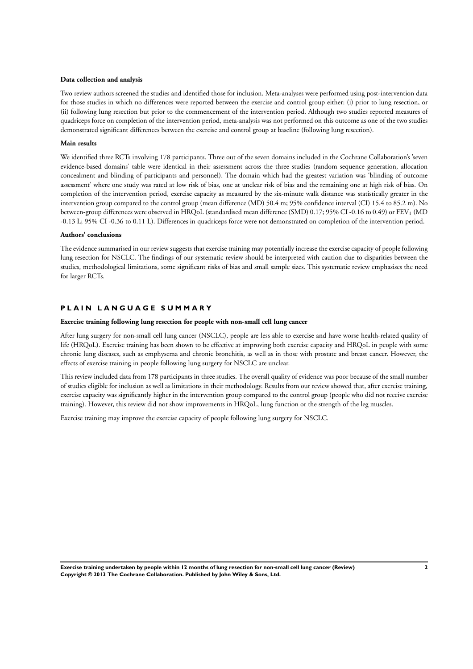#### **Data collection and analysis**

Two review authors screened the studies and identified those for inclusion. Meta-analyses were performed using post-intervention data for those studies in which no differences were reported between the exercise and control group either: (i) prior to lung resection, or (ii) following lung resection but prior to the commencement of the intervention period. Although two studies reported measures of quadriceps force on completion of the intervention period, meta-analysis was not performed on this outcome as one of the two studies demonstrated significant differences between the exercise and control group at baseline (following lung resection).

#### **Main results**

We identified three RCTs involving 178 participants. Three out of the seven domains included in the Cochrane Collaboration's 'seven evidence-based domains' table were identical in their assessment across the three studies (random sequence generation, allocation concealment and blinding of participants and personnel). The domain which had the greatest variation was 'blinding of outcome assessment' where one study was rated at low risk of bias, one at unclear risk of bias and the remaining one at high risk of bias. On completion of the intervention period, exercise capacity as measured by the six-minute walk distance was statistically greater in the intervention group compared to the control group (mean difference (MD) 50.4 m; 95% confidence interval (CI) 15.4 to 85.2 m). No between-group differences were observed in HRQoL (standardised mean difference (SMD) 0.17; 95% CI -0.16 to 0.49) or FEV1 (MD -0.13 L; 95% CI -0.36 to 0.11 L). Differences in quadriceps force were not demonstrated on completion of the intervention period.

## **Authors' conclusions**

The evidence summarised in our review suggests that exercise training may potentially increase the exercise capacity of people following lung resection for NSCLC. The findings of our systematic review should be interpreted with caution due to disparities between the studies, methodological limitations, some significant risks of bias and small sample sizes. This systematic review emphasises the need for larger RCTs.

## **PLAIN LANGUAGE SUMMARY**

#### **Exercise training following lung resection for people with non-small cell lung cancer**

After lung surgery for non-small cell lung cancer (NSCLC), people are less able to exercise and have worse health-related quality of life (HRQoL). Exercise training has been shown to be effective at improving both exercise capacity and HRQoL in people with some chronic lung diseases, such as emphysema and chronic bronchitis, as well as in those with prostate and breast cancer. However, the effects of exercise training in people following lung surgery for NSCLC are unclear.

This review included data from 178 participants in three studies. The overall quality of evidence was poor because of the small number of studies eligible for inclusion as well as limitations in their methodology. Results from our review showed that, after exercise training, exercise capacity was significantly higher in the intervention group compared to the control group (people who did not receive exercise training). However, this review did not show improvements in HRQoL, lung function or the strength of the leg muscles.

Exercise training may improve the exercise capacity of people following lung surgery for NSCLC.

**Exercise training undertaken by people within 12 months of lung resection for non-small cell lung cancer (Review) 2 Copyright © 2013 The Cochrane Collaboration. Published by John Wiley & Sons, Ltd.**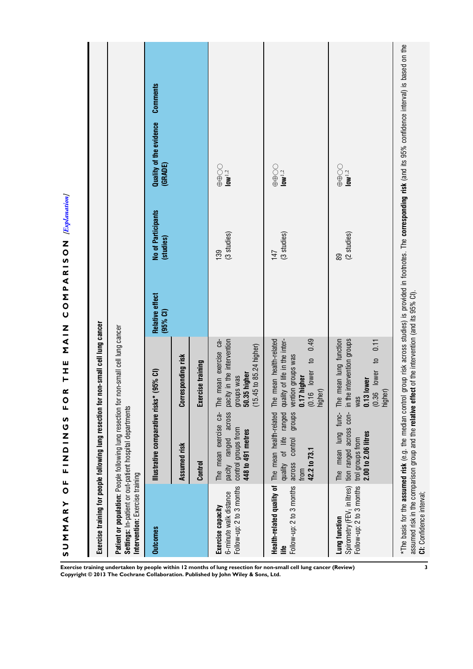| ∟<br>O<br>SUMMARY                                                                    | Exercise training for people following lung resection for<br><b>SUNDINITY</b>                                                                     | non-small cell lung cancer<br><b>NHV NH</b><br>H<br>H<br>H<br>$\propto$<br>0<br>∟                                                                   |                                      | COMPARISON [Explanation]        |                                                                                                                                                                                        |  |
|--------------------------------------------------------------------------------------|---------------------------------------------------------------------------------------------------------------------------------------------------|-----------------------------------------------------------------------------------------------------------------------------------------------------|--------------------------------------|---------------------------------|----------------------------------------------------------------------------------------------------------------------------------------------------------------------------------------|--|
| Intervention: Exercise training                                                      | Patient or population: People following lung resection for non-small cell lung cancer<br>Settings: In-patient or out-patient hospital departments |                                                                                                                                                     |                                      |                                 |                                                                                                                                                                                        |  |
| <b>Outcomes</b>                                                                      | Illustrative comparative risks* (95% CI)                                                                                                          |                                                                                                                                                     | <b>Relative effect</b><br>$(95%$ CI) | No of Participants<br>(studies) | Comments<br>Quality of the evidence<br>(GRADE)                                                                                                                                         |  |
|                                                                                      | Assumed risk                                                                                                                                      | Corresponding risk                                                                                                                                  |                                      |                                 |                                                                                                                                                                                        |  |
|                                                                                      | Control                                                                                                                                           | Exercise training                                                                                                                                   |                                      |                                 |                                                                                                                                                                                        |  |
| Follow-up: 2 to 3 months<br>6-minute walk distance<br>Exercise capacity              | across<br>The mean exercise ca-<br>control groups from<br>448 to 491 metres<br>pacity ranged                                                      | The mean exercise ca-<br>pacity in the intervention<br>$(15.45 to 85.24$ higher)<br>50.35 higher<br>groups was                                      |                                      | (3 studies)<br>139              | $\bigcirc$<br>low <sup>1,2</sup>                                                                                                                                                       |  |
| Follow-up: 2 to 3 months<br>Health-related quality of<br>≝                           | groups<br>The mean health-related<br>quality of life ranged<br>across control<br>42.2 to 73.1<br>from                                             | quality of life in the inter-<br>0.49<br>The mean health-related<br>vention groups was<br>$\overline{c}$<br>$(0.16$ lower<br>0.17 higher<br>higher) |                                      | (3 studies)<br>147              | ©<br>⊕⊕<br>low <sup>1,2</sup>                                                                                                                                                          |  |
| Follow-up: 2 to 3 months<br>Spirometry (FEV <sub>1</sub> in litres)<br>Lung function | tion ranged across con-<br>func-<br>mean lung<br>2.00 to 2.06 litres<br>trol groups from<br>)<br>그                                                | in the intervention groups<br>The mean lung function<br>$(0.36$ lower to $0.11$<br>higher)<br>$0.13$ lower<br>was                                   |                                      | (2 studies)<br>89               | $\bigcirc$<br>low <sup>1,2</sup>                                                                                                                                                       |  |
| CI: Confidence interval;                                                             | assumed risk in the comparison group and the relative effect of the intervention (and its 95% CI).                                                |                                                                                                                                                     |                                      |                                 | *The basis for the assumed risk (e.g. the median control group risk across studies) is provided in footnotes. The corresponding risk (and its 95% confidence interval) is based on the |  |

**Exercise training undertaken by people within 12 months of lung resection for non-small cell lung cancer (Review) 3 Copyright © 2013 The Cochrane Collaboration. Published by John Wiley & Sons, Ltd.**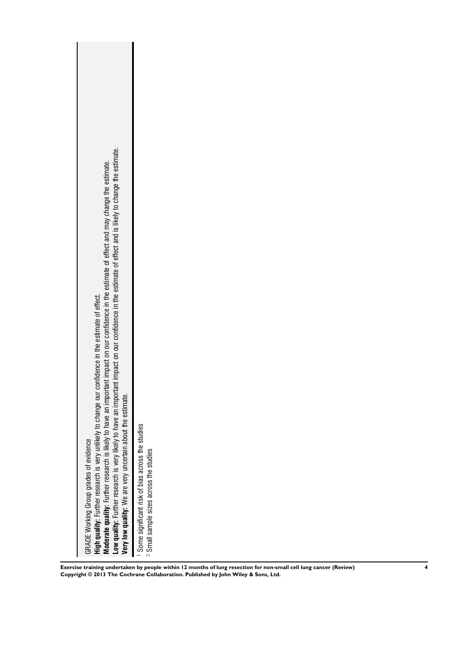| Low quality: Further research is very likely to have an important impact on our confidence in the estimate of effect and is likely to change the estimate.<br>Moderate quality: Further research is likely to have an important impact on our confidence in the estimate of effect and may change the estimate.<br>High quality: Further research is very unlikely to change our confidence in the estimate of effect.<br>Very low quality: We are very uncertain about the estimate. |                                                                                               |
|---------------------------------------------------------------------------------------------------------------------------------------------------------------------------------------------------------------------------------------------------------------------------------------------------------------------------------------------------------------------------------------------------------------------------------------------------------------------------------------|-----------------------------------------------------------------------------------------------|
| GRADE Working Group grades of evidence                                                                                                                                                                                                                                                                                                                                                                                                                                                | Some significant risk of bias across the studies<br>$2$ Small sample sizes across the studies |

 $\overline{a}$ 

**Exercise training undertaken by people within 12 months of lung resection for non-small cell lung cancer (Review) 4 Copyright © 2013 The Cochrane Collaboration. Published by John Wiley & Sons, Ltd.**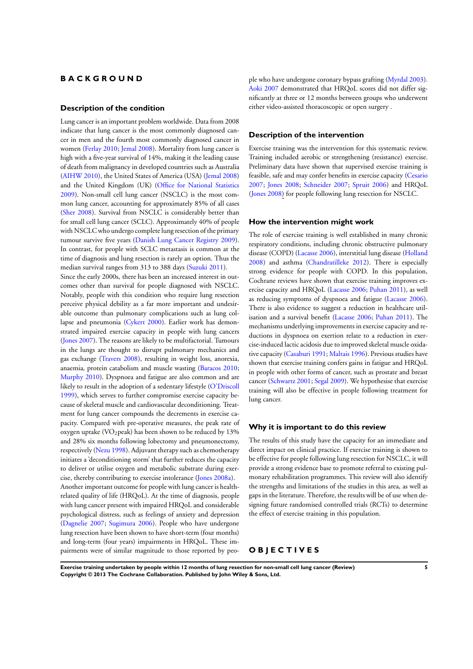## **BACKGROUND**

## **Description of the condition**

Lung cancer is an important problem worldwide. Data from 2008 indicate that lung cancer is the most commonly diagnosed cancer in men and the fourth most commonly diagnosed cancer in women (Ferlay 2010; Jemal 2008). Mortality from lung cancer is high with a five-year survival of 14%, making it the leading cause of death from malignancy in developed countries such as Australia (AIHW 2010), the United States of America (USA) (Jemal 2008) and the United Kingdom (UK) (Office for National Statistics 2009). Non-small cell lung cancer (NSCLC) is the most common lung cancer, accounting for approximately 85% of all cases (Sher 2008). Survival from NSCLC is considerably better than for small cell lung cancer (SCLC). Approximately 40% of people with NSCLC who undergo complete lung resection of the primary tumour survive five years (Danish Lung Cancer Registry 2009). In contrast, for people with SCLC metastasis is common at the time of diagnosis and lung resection is rarely an option. Thus the median survival ranges from 313 to 388 days (Suzuki 2011). Since the early 2000s, there has been an increased interest in outcomes other than survival for people diagnosed with NSCLC. Notably, people with this condition who require lung resection perceive physical debility as a far more important and undesirable outcome than pulmonary complications such as lung collapse and pneumonia (Cykert 2000). Earlier work has demonstrated impaired exercise capacity in people with lung cancers (Jones 2007). The reasons are likely to be multifactorial. Tumours in the lungs are thought to disrupt pulmonary mechanics and gas exchange (Travers 2008), resulting in weight loss, anorexia, anaemia, protein catabolism and muscle wasting (Baracos 2010; Murphy 2010). Dyspnoea and fatigue are also common and are likely to result in the adoption of a sedentary lifestyle (O'Driscoll 1999), which serves to further compromise exercise capacity because of skeletal muscle and cardiovascular deconditioning. Treatment for lung cancer compounds the decrements in exercise capacity. Compared with pre-operative measures, the peak rate of oxygen uptake (VO<sub>2</sub>peak) has been shown to be reduced by  $13\%$ and 28% six months following lobectomy and pneumonectomy, respectively (Nezu 1998). Adjuvant therapy such as chemotherapy initiates a 'deconditioning storm' that further reduces the capacity to deliver or utilise oxygen and metabolic substrate during exercise, thereby contributing to exercise intolerance (Jones 2008a). Another important outcome for people with lung cancer is healthrelated quality of life (HRQoL). At the time of diagnosis, people with lung cancer present with impaired HRQoL and considerable psychological distress, such as feelings of anxiety and depression (Dagnelie 2007; Sugimura 2006). People who have undergone lung resection have been shown to have short-term (four months) and long-term (four years) impairments in HRQoL. These impairments were of similar magnitude to those reported by people who have undergone coronary bypass grafting (Myrdal 2003). Aoki 2007 demonstrated that HRQoL scores did not differ significantly at three or 12 months between groups who underwent either video-assisted thoracoscopic or open surgery .

## **Description of the intervention**

Exercise training was the intervention for this systematic review. Training included aerobic or strengthening (resistance) exercise. Preliminary data have shown that supervised exercise training is feasible, safe and may confer benefits in exercise capacity (Cesario 2007; Jones 2008; Schneider 2007; Spruit 2006) and HRQoL (Jones 2008) for people following lung resection for NSCLC.

## **How the intervention might work**

The role of exercise training is well established in many chronic respiratory conditions, including chronic obstructive pulmonary disease (COPD) (Lacasse 2006), interstitial lung disease (Holland 2008) and asthma (Chandratilleke 2012). There is especially strong evidence for people with COPD. In this population, Cochrane reviews have shown that exercise training improves exercise capacity and HRQoL (Lacasse 2006; Puhan 2011), as well as reducing symptoms of dyspnoea and fatigue (Lacasse 2006). There is also evidence to suggest a reduction in healthcare utilisation and a survival benefit (Lacasse 2006; Puhan 2011). The mechanisms underlying improvements in exercise capacity and reductions in dyspnoea on exertion relate to a reduction in exercise-induced lactic acidosis due to improved skeletal muscle oxidative capacity (Casaburi 1991; Maltais 1996). Previous studies have shown that exercise training confers gains in fatigue and HRQoL in people with other forms of cancer, such as prostate and breast cancer (Schwartz 2001; Segal 2009). We hypothesise that exercise training will also be effective in people following treatment for lung cancer.

#### **Why it is important to do this review**

The results of this study have the capacity for an immediate and direct impact on clinical practice. If exercise training is shown to be effective for people following lung resection for NSCLC, it will provide a strong evidence base to promote referral to existing pulmonary rehabilitation programmes. This review will also identify the strengths and limitations of the studies in this area, as well as gaps in the literature. Therefore, the results will be of use when designing future randomised controlled trials (RCTs) to determine the effect of exercise training in this population.

## **OBJECTIVES**

**Exercise training undertaken by people within 12 months of lung resection for non-small cell lung cancer (Review) 5 Copyright © 2013 The Cochrane Collaboration. Published by John Wiley & Sons, Ltd.**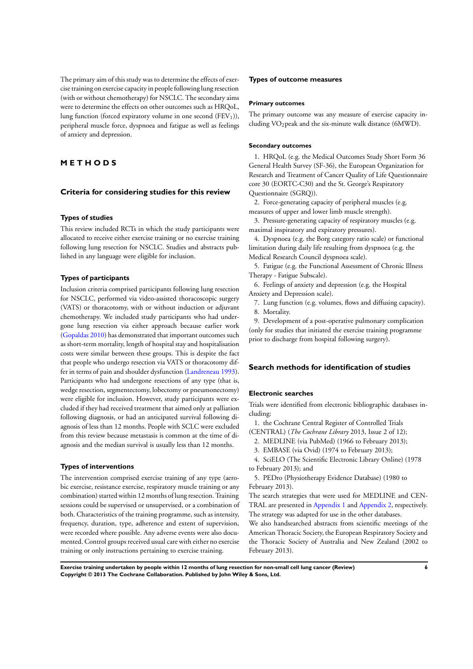The primary aim of this study was to determine the effects of exercise training on exercise capacity in people following lung resection (with or without chemotherapy) for NSCLC. The secondary aims were to determine the effects on other outcomes such as HRQoL, lung function (forced expiratory volume in one second  $(FEV_1)$ ), peripheral muscle force, dyspnoea and fatigue as well as feelings of anxiety and depression.

## **METHODS**

## **Criteria for considering studies for this review**

## **Types of studies**

This review included RCTs in which the study participants were allocated to receive either exercise training or no exercise training following lung resection for NSCLC. Studies and abstracts published in any language were eligible for inclusion.

### **Types of participants**

Inclusion criteria comprised participants following lung resection for NSCLC, performed via video-assisted thoracoscopic surgery (VATS) or thoracotomy, with or without induction or adjuvant chemotherapy. We included study participants who had undergone lung resection via either approach because earlier work (Gopaldas 2010) has demonstrated that important outcomes such as short-term mortality, length of hospital stay and hospitalisation costs were similar between these groups. This is despite the fact that people who undergo resection via VATS or thoracotomy differ in terms of pain and shoulder dysfunction (Landreneau 1993). Participants who had undergone resections of any type (that is, wedge resection, segmentectomy, lobectomy or pneumonectomy) were eligible for inclusion. However, study participants were excluded if they had received treatment that aimed only at palliation following diagnosis, or had an anticipated survival following diagnosis of less than 12 months. People with SCLC were excluded from this review because metastasis is common at the time of diagnosis and the median survival is usually less than 12 months.

#### **Types of interventions**

The intervention comprised exercise training of any type (aerobic exercise, resistance exercise, respiratory muscle training or any combination) started within 12 months of lung resection. Training sessions could be supervised or unsupervised, or a combination of both. Characteristics of the training programme, such as intensity, frequency, duration, type, adherence and extent of supervision, were recorded where possible. Any adverse events were also documented. Control groups received usual care with either no exercise training or only instructions pertaining to exercise training.

#### **Types of outcome measures**

#### **Primary outcomes**

The primary outcome was any measure of exercise capacity including VO2peak and the six-minute walk distance (6MWD).

## **Secondary outcomes**

1. HRQoL (e.g. the Medical Outcomes Study Short Form 36 General Health Survey (SF-36), the European Organization for Research and Treatment of Cancer Quality of Life Questionnaire core 30 (EORTC-C30) and the St. George's Respiratory Questionnaire (SGRQ)).

2. Force-generating capacity of peripheral muscles (e.g. measures of upper and lower limb muscle strength).

3. Pressure-generating capacity of respiratory muscles (e.g. maximal inspiratory and expiratory pressures).

4. Dyspnoea (e.g. the Borg category ratio scale) or functional limitation during daily life resulting from dyspnoea (e.g. the Medical Research Council dyspnoea scale).

5. Fatigue (e.g. the Functional Assessment of Chronic Illness Therapy - Fatigue Subscale).

6. Feelings of anxiety and depression (e.g. the Hospital Anxiety and Depression scale).

7. Lung function (e.g. volumes, flows and diffusing capacity). 8. Mortality.

9. Development of a post-operative pulmonary complication (only for studies that initiated the exercise training programme prior to discharge from hospital following surgery).

## **Search methods for identification of studies**

#### **Electronic searches**

Trials were identified from electronic bibliographic databases including:

1. the Cochrane Central Register of Controlled Trials

(CENTRAL) (*The Cochrane Library* 2013, Issue 2 of 12);

2. MEDLINE (via PubMed) (1966 to February 2013);

3. EMBASE (via Ovid) (1974 to February 2013);

4. SciELO (The Scientific Electronic Library Online) (1978 to February 2013); and

5. PEDro (Physiotherapy Evidence Database) (1980 to February 2013).

The search strategies that were used for MEDLINE and CEN-TRAL are presented in Appendix 1 and Appendix 2, respectively. The strategy was adapted for use in the other databases.

We also handsearched abstracts from scientific meetings of the American Thoracic Society, the European Respiratory Society and the Thoracic Society of Australia and New Zealand (2002 to February 2013).

**Exercise training undertaken by people within 12 months of lung resection for non-small cell lung cancer (Review) 6 Copyright © 2013 The Cochrane Collaboration. Published by John Wiley & Sons, Ltd.**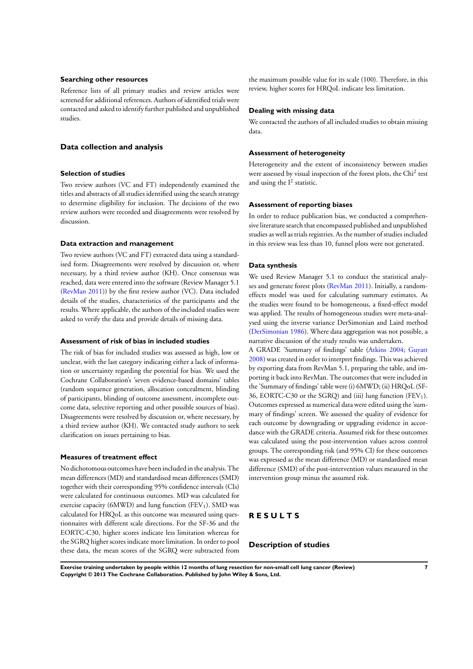## **Searching other resources**

Reference lists of all primary studies and review articles were screened for additional references. Authors of identified trials were contacted and asked to identify further published and unpublished studies.

## **Data collection and analysis**

## **Selection of studies**

Two review authors (VC and FT) independently examined the titles and abstracts of all studies identified using the search strategy to determine eligibility for inclusion. The decisions of the two review authors were recorded and disagreements were resolved by discussion.

#### **Data extraction and management**

Two review authors (VC and FT) extracted data using a standardised form. Disagreements were resolved by discussion or, where necessary, by a third review author (KH). Once consensus was reached, data were entered into the software (Review Manager 5.1 (RevMan 2011)) by the first review author (VC). Data included details of the studies, characteristics of the participants and the results. Where applicable, the authors of the included studies were asked to verify the data and provide details of missing data.

#### **Assessment of risk of bias in included studies**

The risk of bias for included studies was assessed as high, low or unclear, with the last category indicating either a lack of information or uncertainty regarding the potential for bias. We used the Cochrane Collaboration's 'seven evidence-based domains' tables (random sequence generation, allocation concealment, blinding of participants, blinding of outcome assessment, incomplete outcome data, selective reporting and other possible sources of bias). Disagreements were resolved by discussion or, where necessary, by a third review author (KH). We contacted study authors to seek clarification on issues pertaining to bias.

## **Measures of treatment effect**

No dichotomous outcomes have been included in the analysis. The mean differences (MD) and standardised mean differences (SMD) together with their corresponding 95% confidence intervals (CIs) were calculated for continuous outcomes. MD was calculated for exercise capacity (6MWD) and lung function ( $FEV<sub>1</sub>$ ). SMD was calculated for HRQoL as this outcome was measured using questionnaires with different scale directions. For the SF-36 and the EORTC-C30, higher scores indicate less limitation whereas for the SGRQ higher scores indicate more limitation. In order to pool these data, the mean scores of the SGRQ were subtracted from

the maximum possible value for its scale (100). Therefore, in this review, higher scores for HRQoL indicate less limitation.

## **Dealing with missing data**

We contacted the authors of all included studies to obtain missing data.

#### **Assessment of heterogeneity**

Heterogeneity and the extent of inconsistency between studies were assessed by visual inspection of the forest plots, the Chi<sup>2</sup> test and using the  $I^2$  statistic.

## **Assessment of reporting biases**

In order to reduce publication bias, we conducted a comprehensive literature search that encompassed published and unpublished studies as well as trials registries. As the number of studies included in this review was less than 10, funnel plots were not generated.

## **Data synthesis**

We used Review Manager 5.1 to conduct the statistical analyses and generate forest plots (RevMan 2011). Initially, a randomeffects model was used for calculating summary estimates. As the studies were found to be homogeneous, a fixed-effect model was applied. The results of homogeneous studies were meta-analysed using the inverse variance DerSimonian and Laird method (DerSimonian 1986). Where data aggregation was not possible, a narrative discussion of the study results was undertaken.

A GRADE 'Summary of findings' table (Atkins 2004; Guyatt 2008) was created in order to interpret findings. This was achieved by exporting data from RevMan 5.1, preparing the table, and importing it back into RevMan. The outcomes that were included in the 'Summary of findings' table were (i) 6MWD; (ii) HRQoL (SF-36, EORTC-C30 or the SGRQ) and (iii) lung function (FEV<sub>1</sub>). Outcomes expressed as numerical data were edited using the 'summary of findings' screen. We assessed the quality of evidence for each outcome by downgrading or upgrading evidence in accordance with the GRADE criteria. Assumed risk for these outcomes was calculated using the post-intervention values across control groups. The corresponding risk (and 95% CI) for these outcomes was expressed as the mean difference (MD) or standardised mean difference (SMD) of the post-intervention values measured in the intervention group minus the assumed risk.

## **RESULTS**

## **Description of studies**

**Exercise training undertaken by people within 12 months of lung resection for non-small cell lung cancer (Review) 7 Copyright © 2013 The Cochrane Collaboration. Published by John Wiley & Sons, Ltd.**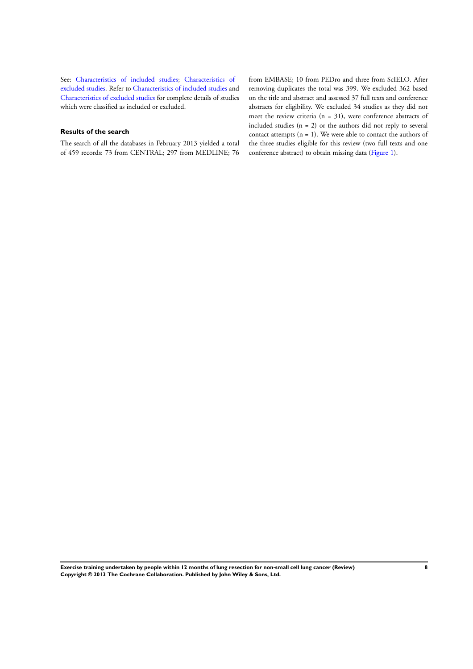See: Characteristics of included studies; Characteristics of excluded studies. Refer to Characteristics of included studies and Characteristics of excluded studies for complete details of studies which were classified as included or excluded.

## **Results of the search**

The search of all the databases in February 2013 yielded a total of 459 records: 73 from CENTRAL; 297 from MEDLINE; 76 from EMBASE; 10 from PEDro and three from ScIELO. After removing duplicates the total was 399. We excluded 362 based on the title and abstract and assessed 37 full texts and conference abstracts for eligibility. We excluded 34 studies as they did not meet the review criteria ( $n = 31$ ), were conference abstracts of included studies  $(n = 2)$  or the authors did not reply to several contact attempts  $(n = 1)$ . We were able to contact the authors of the three studies eligible for this review (two full texts and one conference abstract) to obtain missing data (Figure 1).

**Exercise training undertaken by people within 12 months of lung resection for non-small cell lung cancer (Review) 8 Copyright © 2013 The Cochrane Collaboration. Published by John Wiley & Sons, Ltd.**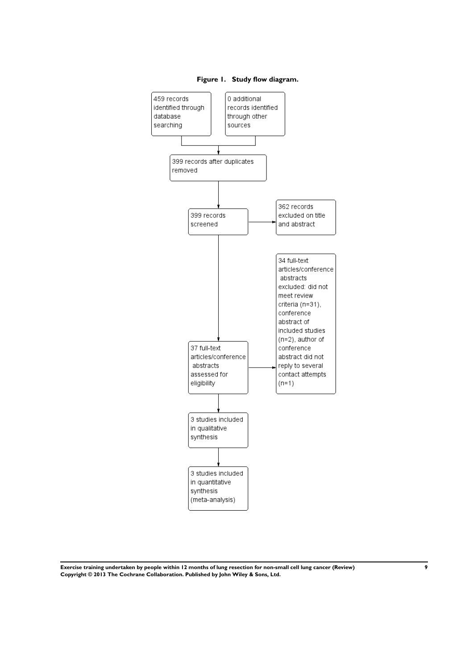



**Exercise training undertaken by people within 12 months of lung resection for non-small cell lung cancer (Review) 9 Copyright © 2013 The Cochrane Collaboration. Published by John Wiley & Sons, Ltd.**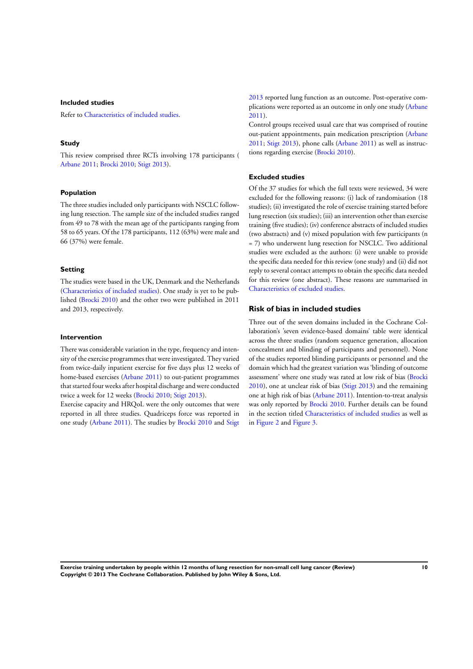## **Included studies**

Refer to Characteristics of included studies.

## **Study**

This review comprised three RCTs involving 178 participants ( Arbane 2011; Brocki 2010; Stigt 2013).

## **Population**

The three studies included only participants with NSCLC following lung resection. The sample size of the included studies ranged from 49 to 78 with the mean age of the participants ranging from 58 to 65 years. Of the 178 participants, 112 (63%) were male and 66 (37%) were female.

## **Setting**

The studies were based in the UK, Denmark and the Netherlands (Characteristics of included studies). One study is yet to be published (Brocki 2010) and the other two were published in 2011 and 2013, respectively.

## **Intervention**

There was considerable variation in the type, frequency and intensity of the exercise programmes that were investigated. They varied from twice-daily inpatient exercise for five days plus 12 weeks of home-based exercises (Arbane 2011) to out-patient programmes that started four weeks after hospital discharge and were conducted twice a week for 12 weeks (Brocki 2010; Stigt 2013).

Exercise capacity and HRQoL were the only outcomes that were reported in all three studies. Quadriceps force was reported in one study (Arbane 2011). The studies by Brocki 2010 and Stigt 2013 reported lung function as an outcome. Post-operative complications were reported as an outcome in only one study (Arbane 2011).

Control groups received usual care that was comprised of routine out-patient appointments, pain medication prescription (Arbane 2011; Stigt 2013), phone calls (Arbane 2011) as well as instructions regarding exercise (Brocki 2010).

## **Excluded studies**

Of the 37 studies for which the full texts were reviewed, 34 were excluded for the following reasons: (i) lack of randomisation (18 studies); (ii) investigated the role of exercise training started before lung resection (six studies); (iii) an intervention other than exercise training (five studies); (iv) conference abstracts of included studies (two abstracts) and (v) mixed population with few participants (n = 7) who underwent lung resection for NSCLC. Two additional studies were excluded as the authors: (i) were unable to provide the specific data needed for this review (one study) and (ii) did not reply to several contact attempts to obtain the specific data needed for this review (one abstract). These reasons are summarised in Characteristics of excluded studies.

## **Risk of bias in included studies**

Three out of the seven domains included in the Cochrane Collaboration's 'seven evidence-based domains' table were identical across the three studies (random sequence generation, allocation concealment and blinding of participants and personnel). None of the studies reported blinding participants or personnel and the domain which had the greatest variation was 'blinding of outcome assessment' where one study was rated at low risk of bias (Brocki 2010), one at unclear risk of bias (Stigt 2013) and the remaining one at high risk of bias (Arbane 2011). Intention-to-treat analysis was only reported by Brocki 2010. Further details can be found in the section titled Characteristics of included studies as well as in Figure 2 and Figure 3.

**Exercise training undertaken by people within 12 months of lung resection for non-small cell lung cancer (Review) 10 Copyright © 2013 The Cochrane Collaboration. Published by John Wiley & Sons, Ltd.**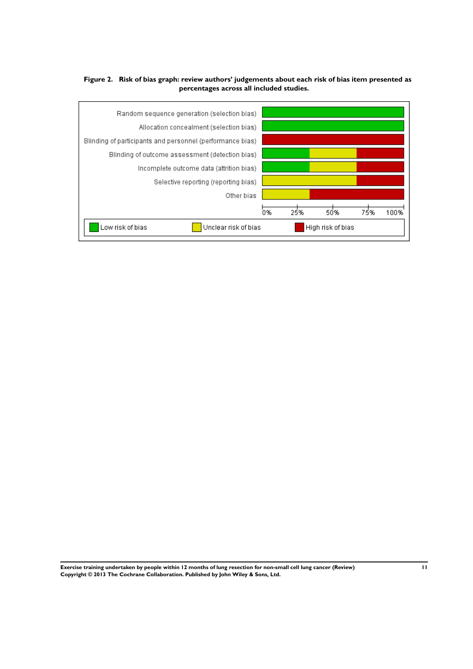## **Figure 2. Risk of bias graph: review authors' judgements about each risk of bias item presented as percentages across all included studies.**



**Exercise training undertaken by people within 12 months of lung resection for non-small cell lung cancer (Review) 11 Copyright © 2013 The Cochrane Collaboration. Published by John Wiley & Sons, Ltd.**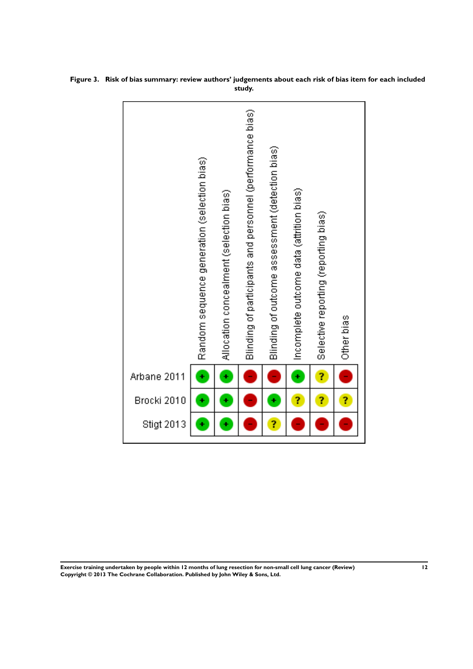

**Figure 3. Risk of bias summary: review authors' judgements about each risk of bias item for each included study.**

**Exercise training undertaken by people within 12 months of lung resection for non-small cell lung cancer (Review) 12 Copyright © 2013 The Cochrane Collaboration. Published by John Wiley & Sons, Ltd.**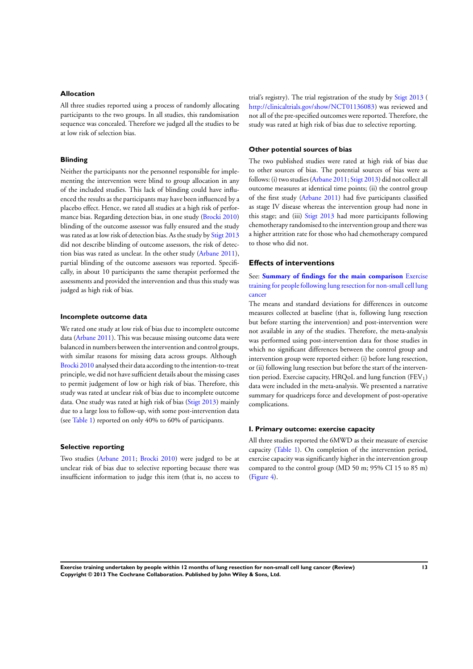## **Allocation**

All three studies reported using a process of randomly allocating participants to the two groups. In all studies, this randomisation sequence was concealed. Therefore we judged all the studies to be at low risk of selection bias.

## **Blinding**

Neither the participants nor the personnel responsible for implementing the intervention were blind to group allocation in any of the included studies. This lack of blinding could have influenced the results as the participants may have been influenced by a placebo effect. Hence, we rated all studies at a high risk of performance bias. Regarding detection bias, in one study (Brocki 2010) blinding of the outcome assessor was fully ensured and the study was rated as at low risk of detection bias. As the study by Stigt 2013 did not describe blinding of outcome assessors, the risk of detection bias was rated as unclear. In the other study (Arbane 2011), partial blinding of the outcome assessors was reported. Specifically, in about 10 participants the same therapist performed the assessments and provided the intervention and thus this study was judged as high risk of bias.

## **Incomplete outcome data**

We rated one study at low risk of bias due to incomplete outcome data (Arbane 2011). This was because missing outcome data were balanced in numbers between the intervention and control groups, with similar reasons for missing data across groups. Although Brocki 2010 analysed their data according to the intention-to-treat principle, we did not have sufficient details about the missing cases to permit judgement of low or high risk of bias. Therefore, this study was rated at unclear risk of bias due to incomplete outcome data. One study was rated at high risk of bias (Stigt 2013) mainly due to a large loss to follow-up, with some post-intervention data (see Table 1) reported on only 40% to 60% of participants.

#### **Selective reporting**

Two studies (Arbane 2011; Brocki 2010) were judged to be at unclear risk of bias due to selective reporting because there was insufficient information to judge this item (that is, no access to

trial's registry). The trial registration of the study by Stigt 2013 ( http://clinicaltrials.gov/show/NCT01136083) was reviewed and not all of the pre-specified outcomes were reported. Therefore, the study was rated at high risk of bias due to selective reporting.

#### **Other potential sources of bias**

The two published studies were rated at high risk of bias due to other sources of bias. The potential sources of bias were as follows: (i) two studies (Arbane 2011; Stigt 2013) did not collect all outcome measures at identical time points; (ii) the control group of the first study (Arbane 2011) had five participants classified as stage IV disease whereas the intervention group had none in this stage; and (iii) Stigt 2013 had more participants following chemotherapy randomised to the intervention group and therewas a higher attrition rate for those who had chemotherapy compared to those who did not.

## **Effects of interventions**

See: **Summary of findings for the main comparison** Exercise training for people following lung resection for non-small cell lung cancer

The means and standard deviations for differences in outcome measures collected at baseline (that is, following lung resection but before starting the intervention) and post-intervention were not available in any of the studies. Therefore, the meta-analysis was performed using post-intervention data for those studies in which no significant differences between the control group and intervention group were reported either: (i) before lung resection, or (ii) following lung resection but before the start of the intervention period. Exercise capacity, HRQoL and lung function  $(FEV<sub>1</sub>)$ data were included in the meta-analysis. We presented a narrative summary for quadriceps force and development of post-operative complications.

## **I. Primary outcome: exercise capacity**

All three studies reported the 6MWD as their measure of exercise capacity (Table 1). On completion of the intervention period, exercise capacity was significantly higher in the intervention group compared to the control group (MD 50 m; 95% CI 15 to 85 m) (Figure 4).

**Exercise training undertaken by people within 12 months of lung resection for non-small cell lung cancer (Review) 13 Copyright © 2013 The Cochrane Collaboration. Published by John Wiley & Sons, Ltd.**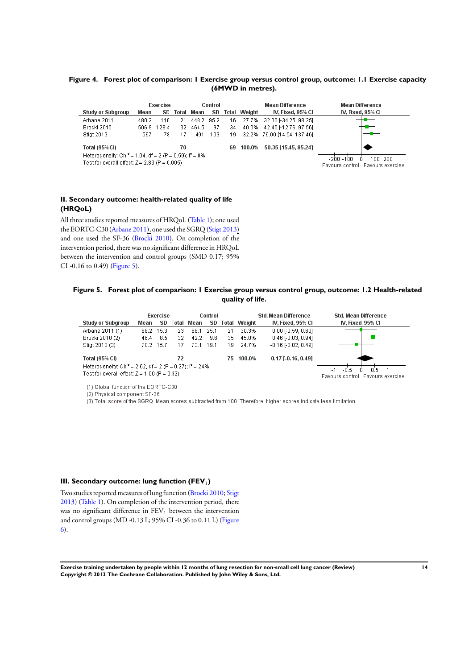## **Figure 4. Forest plot of comparison: 1 Exercise group versus control group, outcome: 1.1 Exercise capacity (6MWD in metres).**

|                                                                                                                         |       | Exercise |       |            | Control |    |                     | <b>Mean Difference</b>      | Mean Difference                                                |
|-------------------------------------------------------------------------------------------------------------------------|-------|----------|-------|------------|---------|----|---------------------|-----------------------------|----------------------------------------------------------------|
| <b>Study or Subgroup</b>                                                                                                | Mean  | SD       | Total | Mean       | SD      |    | <b>Total Weight</b> | IV. Fixed, 95% CI           | IV. Fixed, 95% CI                                              |
| Arbane 2011                                                                                                             | 480.2 | 110      | 21.   | 448.2 95.2 |         | 16 | 27.7%               | 32.00 [-34.25, 98.25]       |                                                                |
| Brocki 2010                                                                                                             | 506.9 | 128.4    | -32   | 464.5      | 97      | 34 | 40.0%               | 42.40 [-12.76, 97.56]       |                                                                |
| Stiat 2013                                                                                                              | 567   | 78       | 17    | 491        | 109     | 19 |                     | 32.2% 76.00 [14.54, 137.46] |                                                                |
| <b>Total (95% CI)</b>                                                                                                   |       |          | 70    |            |         | 69 | 100.0%              | 50.35 [15.45, 85.24]        |                                                                |
| Heterogeneity: Chi <sup>2</sup> = 1.04, df = 2 (P = 0.59); $P = 0\%$<br>Test for overall effect: $Z = 2.83$ (P = 0.005) |       |          |       |            |         |    |                     |                             | 200<br>100<br>$-200 - 100$<br>Favours control Favours exercise |

## **II. Secondary outcome: health-related quality of life (HRQoL)**

All three studies reported measures of HRQoL (Table 1); one used the EORTC-C30 (Arbane 2011), one used the SGRQ (Stigt 2013) and one used the SF-36 (Brocki 2010). On completion of the intervention period, there was no significant difference in HRQoL between the intervention and control groups (SMD 0.17; 95% CI -0.16 to 0.49) (Figure 5).

## **Figure 5. Forest plot of comparison: 1 Exercise group versus control group, outcome: 1.2 Health-related quality of life.**

|                                                                       |           | Exercise  |       |      | Control |       |        | Std. Mean Difference        | Std. Mean Difference             |
|-----------------------------------------------------------------------|-----------|-----------|-------|------|---------|-------|--------|-----------------------------|----------------------------------|
| Study or Subgroup                                                     | Mean      | <b>SD</b> | Total | Mean | SD.     | Total | Weight | IV, Fixed, 95% CI           | IV, Fixed, 95% Cl                |
| Arbane 2011 (1)                                                       | 68.2 15.3 |           | 23    | 68.1 | 25.1    | 21    | 30.3%  | $0.00$ F0.59, 0.601         |                                  |
| Brocki 2010 (2)                                                       | 46.4      | 8.5       | 32    | 42.2 | 9.6     | 35    | 45.0%  | $0.46$ [-0.03, 0.94]        |                                  |
| Stigt 2013 (3)                                                        | 70.2 15.7 |           |       | 73.1 | 19.1    | 19    | 24.7%  | $-0.16[-0.82, 0.49]$        |                                  |
| Total (95% CI)                                                        |           |           | 72    |      |         | 75.   | 100.0% | $0.17$ [ $-0.16$ , $0.49$ ] |                                  |
| Heterogeneity: Chi <sup>2</sup> = 2.62, df = 2 (P = 0.27); $P = 24\%$ |           |           |       |      |         |       |        |                             | n 5<br>-0.5                      |
| Test for overall effect: $Z = 1.00$ (P = 0.32)                        |           |           |       |      |         |       |        |                             | Favours control Favours exercise |

(1) Global function of the EORTC-C30

(2) Physical component SF-36

(3) Total score of the SGRQ. Mean scores subtracted from 100. Therefore, higher scores indicate less limitation.

## **III. Secondary outcome: lung function (FEV<sub>1</sub>)**

Two studies reported measures of lung function (Brocki 2010; Stigt 2013) (Table 1). On completion of the intervention period, there was no significant difference in  $FEV<sub>1</sub>$  between the intervention and control groups (MD -0.13 L; 95% CI -0.36 to 0.11 L) (Figure 6).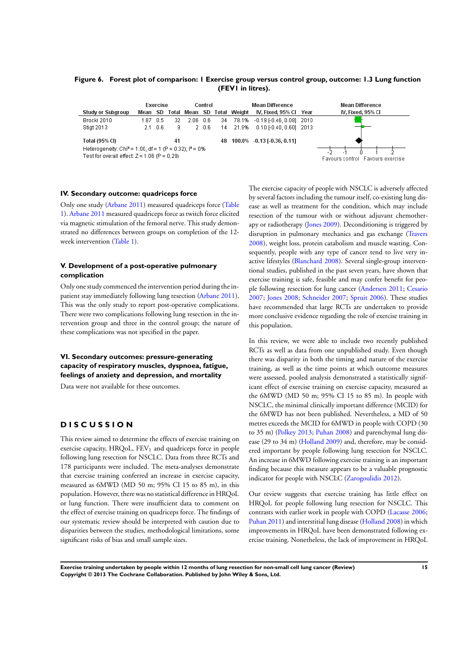## **Figure 6. Forest plot of comparison: 1 Exercise group versus control group, outcome: 1.3 Lung function (FEV1 in litres).**



#### **IV. Secondary outcome: quadriceps force**

Only one study (Arbane 2011) measured quadriceps force (Table 1). Arbane 2011 measured quadriceps force as twitch force elicited via magnetic stimulation of the femoral nerve. This study demonstrated no differences between groups on completion of the 12 week intervention (Table 1).

## **V. Development of a post-operative pulmonary complication**

Only one study commenced the intervention period during the inpatient stay immediately following lung resection (Arbane 2011). This was the only study to report post-operative complications. There were two complications following lung resection in the intervention group and three in the control group; the nature of these complications was not specified in the paper.

## **VI. Secondary outcomes: pressure-generating capacity of respiratory muscles, dyspnoea, fatigue, feelings of anxiety and depression, and mortality**

Data were not available for these outcomes.

## **DISCUSSION**

This review aimed to determine the effects of exercise training on exercise capacity,  $HRQoL$ ,  $FEV<sub>1</sub>$  and quadriceps force in people following lung resection for NSCLC. Data from three RCTs and 178 participants were included. The meta-analyses demonstrate that exercise training conferred an increase in exercise capacity, measured as 6MWD (MD 50 m; 95% CI 15 to 85 m), in this population. However, there was no statistical difference in HRQoL or lung function. There were insufficient data to comment on the effect of exercise training on quadriceps force. The findings of our systematic review should be interpreted with caution due to disparities between the studies, methodological limitations, some significant risks of bias and small sample sizes.

The exercise capacity of people with NSCLC is adversely affected by several factors including the tumour itself, co-existing lung disease as well as treatment for the condition, which may include resection of the tumour with or without adjuvant chemotherapy or radiotherapy (Jones 2009). Deconditioning is triggered by disruption in pulmonary mechanics and gas exchange (Travers 2008), weight loss, protein catabolism and muscle wasting. Consequently, people with any type of cancer tend to live very inactive lifestyles (Blanchard 2008). Several single-group interventional studies, published in the past seven years, have shown that exercise training is safe, feasible and may confer benefit for people following resection for lung cancer (Andersen 2011; Cesario 2007; Jones 2008; Schneider 2007; Spruit 2006). These studies have recommended that large RCTs are undertaken to provide more conclusive evidence regarding the role of exercise training in this population.

In this review, we were able to include two recently published RCTs as well as data from one unpublished study. Even though there was disparity in both the timing and nature of the exercise training, as well as the time points at which outcome measures were assessed, pooled analysis demonstrated a statistically significant effect of exercise training on exercise capacity, measured as the 6MWD (MD 50 m; 95% CI 15 to 85 m). In people with NSCLC, the minimal clinically important difference (MCID) for the 6MWD has not been published. Nevertheless, a MD of 50 metres exceeds the MCID for 6MWD in people with COPD (30 to 35 m) (Polkey 2013; Puhan 2008) and parenchymal lung disease (29 to 34 m) (Holland 2009) and, therefore, may be considered important by people following lung resection for NSCLC. An increase in 6MWD following exercise training is an important finding because this measure appears to be a valuable prognostic indicator for people with NSCLC (Zarogoulidis 2012).

Our review suggests that exercise training has little effect on HRQoL for people following lung resection for NSCLC. This contrasts with earlier work in people with COPD (Lacasse 2006; Puhan 2011) and interstitial lung disease (Holland 2008) in which improvements in HRQoL have been demonstrated following exercise training. Nonetheless, the lack of improvement in HRQoL

**Exercise training undertaken by people within 12 months of lung resection for non-small cell lung cancer (Review) 15 Copyright © 2013 The Cochrane Collaboration. Published by John Wiley & Sons, Ltd.**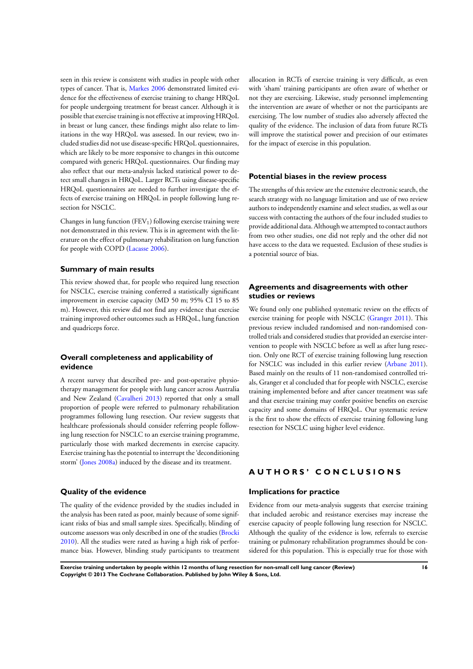seen in this review is consistent with studies in people with other types of cancer. That is, Markes 2006 demonstrated limited evidence for the effectiveness of exercise training to change HRQoL for people undergoing treatment for breast cancer. Although it is possible that exercise training is not effective at improving HRQoL in breast or lung cancer, these findings might also relate to limitations in the way HRQoL was assessed. In our review, two included studies did not use disease-specific HRQoL questionnaires, which are likely to be more responsive to changes in this outcome compared with generic HRQoL questionnaires. Our finding may also reflect that our meta-analysis lacked statistical power to detect small changes in HRQoL. Larger RCTs using disease-specific HRQoL questionnaires are needed to further investigate the effects of exercise training on HRQoL in people following lung resection for NSCLC.

Changes in lung function  $(FEV_1)$  following exercise training were not demonstrated in this review. This is in agreement with the literature on the effect of pulmonary rehabilitation on lung function for people with COPD (Lacasse 2006).

## **Summary of main results**

This review showed that, for people who required lung resection for NSCLC, exercise training conferred a statistically significant improvement in exercise capacity (MD 50 m; 95% CI 15 to 85 m). However, this review did not find any evidence that exercise training improved other outcomes such as HRQoL, lung function and quadriceps force.

## **Overall completeness and applicability of evidence**

A recent survey that described pre- and post-operative physiotherapy management for people with lung cancer across Australia and New Zealand (Cavalheri 2013) reported that only a small proportion of people were referred to pulmonary rehabilitation programmes following lung resection. Our review suggests that healthcare professionals should consider referring people following lung resection for NSCLC to an exercise training programme, particularly those with marked decrements in exercise capacity. Exercise training has the potential to interrupt the 'deconditioning storm' (Jones 2008a) induced by the disease and its treatment.

## **Quality of the evidence**

The quality of the evidence provided by the studies included in the analysis has been rated as poor, mainly because of some significant risks of bias and small sample sizes. Specifically, blinding of outcome assessors was only described in one of the studies (Brocki 2010). All the studies were rated as having a high risk of performance bias. However, blinding study participants to treatment

allocation in RCTs of exercise training is very difficult, as even with 'sham' training participants are often aware of whether or not they are exercising. Likewise, study personnel implementing the intervention are aware of whether or not the participants are exercising. The low number of studies also adversely affected the quality of the evidence. The inclusion of data from future RCTs will improve the statistical power and precision of our estimates for the impact of exercise in this population.

## **Potential biases in the review process**

The strengths of this review are the extensive electronic search, the search strategy with no language limitation and use of two review authors to independently examine and select studies, as well as our success with contacting the authors of the four included studies to provide additional data. Although we attempted to contact authors from two other studies, one did not reply and the other did not have access to the data we requested. Exclusion of these studies is a potential source of bias.

## **Agreements and disagreements with other studies or reviews**

We found only one published systematic review on the effects of exercise training for people with NSCLC (Granger 2011). This previous review included randomised and non-randomised controlled trials and considered studies that provided an exercise intervention to people with NSCLC before as well as after lung resection. Only one RCT of exercise training following lung resection for NSCLC was included in this earlier review (Arbane 2011). Based mainly on the results of 11 non-randomised controlled trials, Granger et al concluded that for people with NSCLC, exercise training implemented before and after cancer treatment was safe and that exercise training may confer positive benefits on exercise capacity and some domains of HRQoL. Our systematic review is the first to show the effects of exercise training following lung resection for NSCLC using higher level evidence.

## **AUTHORS' CONCLUSIONS**

## **Implications for practice**

Evidence from our meta-analysis suggests that exercise training that included aerobic and resistance exercises may increase the exercise capacity of people following lung resection for NSCLC. Although the quality of the evidence is low, referrals to exercise training or pulmonary rehabilitation programmes should be considered for this population. This is especially true for those with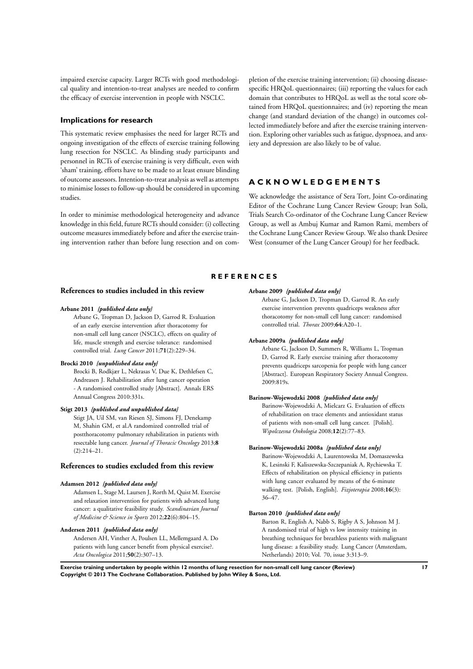impaired exercise capacity. Larger RCTs with good methodological quality and intention-to-treat analyses are needed to confirm the efficacy of exercise intervention in people with NSCLC.

## **Implications for research**

This systematic review emphasises the need for larger RCTs and ongoing investigation of the effects of exercise training following lung resection for NSCLC. As blinding study participants and personnel in RCTs of exercise training is very difficult, even with 'sham' training, efforts have to be made to at least ensure blinding of outcome assessors. Intention-to-treat analysis as well as attempts to minimise losses to follow-up should be considered in upcoming studies.

In order to minimise methodological heterogeneity and advance knowledge in this field, future RCTs should consider: (i) collecting outcome measures immediately before and after the exercise training intervention rather than before lung resection and on com-

pletion of the exercise training intervention; (ii) choosing diseasespecific HRQoL questionnaires; (iii) reporting the values for each domain that contributes to HRQoL as well as the total score obtained from HRQoL questionnaires; and (iv) reporting the mean change (and standard deviation of the change) in outcomes collected immediately before and after the exercise training intervention. Exploring other variables such as fatigue, dyspnoea, and anxiety and depression are also likely to be of value.

## **ACKNOWLEDGEMENTS**

We acknowledge the assistance of Sera Tort, Joint Co-ordinating Editor of the Cochrane Lung Cancer Review Group; Ivan Solà, Trials Search Co-ordinator of the Cochrane Lung Cancer Review Group, as well as Ambuj Kumar and Ramon Rami, members of the Cochrane Lung Cancer Review Group. We also thank Desiree West (consumer of the Lung Cancer Group) for her feedback.

## **REFERENCES**

## **References to studies included in this review**

#### **Arbane 2011** *{published data only}*

Arbane G, Tropman D, Jackson D, Garrod R. Evaluation of an early exercise intervention after thoracotomy for non-small cell lung cancer (NSCLC), effects on quality of life, muscle strength and exercise tolerance: randomised controlled trial. *Lung Cancer* 2011;**71**(2):229–34.

#### **Brocki 2010** *{unpublished data only}*

Brocki B, Rodkjær L, Nekrasas V, Due K, Dethlefsen C, Andreasen J. Rehabilitation after lung cancer operation - A randomised controlled study [Abstract]. Annals ERS Annual Congress 2010:331s.

#### **Stigt 2013** *{published and unpublished data}*

Stigt JA, Uil SM, van Riesen SJ, Simons FJ, Denekamp M, Shahin GM, et al.A randomized controlled trial of postthoracotomy pulmonary rehabilitation in patients with resectable lung cancer. *Journal of Thoracic Oncology* 2013;**8** (2):214–21.

## **References to studies excluded from this review**

#### **Adamsen 2012** *{published data only}*

Adamsen L, Stage M, Laursen J, Rorth M, Quist M. Exercise and relaxation intervention for patients with advanced lung cancer: a qualitative feasibility study. *Scandinavian Journal of Medicine & Science in Sports* 2012;**22**(6):804–15.

## **Andersen 2011** *{published data only}*

Andersen AH, Vinther A, Poulsen LL, Mellemgaard A. Do patients with lung cancer benefit from physical exercise?. *Acta Oncologica* 2011;**50**(2):307–13.

#### **Arbane 2009** *{published data only}*

Arbane G, Jackson D, Tropman D, Garrod R. An early exercise intervention prevents quadriceps weakness after thoracotomy for non-small cell lung cancer: randomised controlled trial. *Thorax* 2009;**64**:A20–1.

#### **Arbane 2009a** *{published data only}*

Arbane G, Jackson D, Summers R, Williams L, Tropman D, Garrod R. Early exercise training after thoracotomy prevents quadriceps sarcopenia for people with lung cancer [Abstract]. European Respiratory Society Annual Congress. 2009:819s.

## **Barinow-Wojewodzki 2008** *{published data only}*

Barinow-Wojewodzki A, Mielcarz G. Evaluation of effects of rehabilitation on trace elements and antioxidant status of patients with non-small cell lung cancer. [Polish]. *Wspolczesna Onkologia* 2008;**12**(2):77–83.

#### **Barinow-Wojewodzki 2008a** *{published data only}*

Barinow-Wojewodzki A, Laurentowska M, Domaszewska K, Lesinski F, Kaliszewska-Szczepaniak A, Rychiewska T. Effects of rehabilitation on physical efficiency in patients with lung cancer evaluated by means of the 6-minute walking test. [Polish, English]. *Fizjoterapia* 2008;**16**(3): 36–47.

### **Barton 2010** *{published data only}*

Barton R, English A, Nabb S, Rigby A S, Johnson M J. A randomised trial of high vs low intensity training in breathing techniques for breathless patients with malignant lung disease: a feasibility study. Lung Cancer (Amsterdam, Netherlands) 2010; Vol. 70, issue 3:313–9.

**Exercise training undertaken by people within 12 months of lung resection for non-small cell lung cancer (Review) 17 Copyright © 2013 The Cochrane Collaboration. Published by John Wiley & Sons, Ltd.**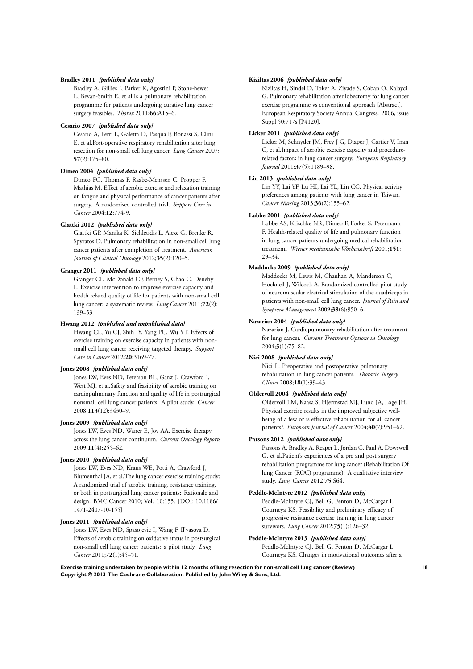#### **Bradley 2011** *{published data only}*

Bradley A, Gillies J, Parker K, Agostini P, Stone-hewer L, Bevan-Smith E, et al.Is a pulmonary rehabilitation programme for patients undergoing curative lung cancer surgery feasible?. *Thorax* 2011;**66**:A15–6.

#### **Cesario 2007** *{published data only}*

Cesario A, Ferri L, Galetta D, Pasqua F, Bonassi S, Clini E, et al.Post-operative respiratory rehabilitation after lung resection for non-small cell lung cancer. *Lung Cancer* 2007; **57**(2):175–80.

## **Dimeo 2004** *{published data only}*

Dimeo FC, Thomas F, Raabe-Menssen C, Propper F, Mathias M. Effect of aerobic exercise and relaxation training on fatigue and physical performance of cancer patients after surgery. A randomised controlled trial. *Support Care in Cancer* 2004;**12**:774-9.

## **Glattki 2012** *{published data only}*

Glattki GP, Manika K, Sichletidis L, Alexe G, Brenke R, Spyratos D. Pulmonary rehabilitation in non-small cell lung cancer patients after completion of treatment. *American Journal of Clinical Oncology* 2012;**35**(2):120–5.

## **Granger 2011** *{published data only}*

Granger CL, McDonald CF, Berney S, Chao C, Denehy L. Exercise intervention to improve exercise capacity and health related quality of life for patients with non-small cell lung cancer: a systematic review. *Lung Cancer* 2011;**72**(2): 139–53.

## **Hwang 2012** *{published and unpublished data}*

Hwang CL, Yu CJ, Shih JY, Yang PC, Wu YT. Effects of exercise training on exercise capacity in patients with nonsmall cell lung cancer receiving targeted therapy. *Support Care in Cancer* 2012;**20**:3169-77.

## **Jones 2008** *{published data only}*

Jones LW, Eves ND, Peterson BL, Garst J, Crawford J, West MJ, et al.Safety and feasibility of aerobic training on cardiopulmonary function and quality of life in postsurgical nonsmall cell lung cancer patients: A pilot study. *Cancer* 2008;**113**(12):3430–9.

#### **Jones 2009** *{published data only}*

Jones LW, Eves ND, Waner E, Joy AA. Exercise therapy across the lung cancer continuum. *Current Oncology Reports* 2009;**11**(4):255–62.

## **Jones 2010** *{published data only}*

Jones LW, Eves ND, Kraus WE, Potti A, Crawford J, Blumenthal JA, et al.The lung cancer exercise training study: A randomized trial of aerobic training, resistance training, or both in postsurgical lung cancer patients: Rationale and design. BMC Cancer 2010; Vol. 10:155. [DOI: 10.1186/ 1471-2407-10-155]

#### **Jones 2011** *{published data only}*

Jones LW, Eves ND, Spasojevic I, Wang F, Il'yasova D. Effects of aerobic training on oxidative status in postsurgical non-small cell lung cancer patients: a pilot study. *Lung Cancer* 2011;**72**(1):45–51.

#### **Kiziltas 2006** *{published data only}*

Kiziltas H, Sindel D, Toker A, Ziyade S, Coban O, Kalayci G. Pulmonary rehabilitation after lobectomy for lung cancer exercise programme vs conventional approach [Abstract]. European Respiratory Society Annual Congress. 2006, issue Suppl 50:717s [P4120].

### **Licker 2011** *{published data only}*

Licker M, Schnyder JM, Frey J G, Diaper J, Cartier V, Inan C, et al.Impact of aerobic exercise capacity and procedurerelated factors in lung cancer surgery. *European Respiratory Journal* 2011;**37**(5):1189–98.

## **Lin 2013** *{published data only}*

Lin YY, Lai YF, Lu HI, Lai YL, Lin CC. Physical activity preferences among patients with lung cancer in Taiwan. *Cancer Nursing* 2013;**36**(2):155–62.

#### **Lubbe 2001** *{published data only}*

Lubbe AS, Krischke NR, Dimeo F, Forkel S, Petermann F. Health-related quality of life and pulmonary function in lung cancer patients undergoing medical rehabilitation treatment. *Wiener medizinische Wochenschrift* 2001;**151**: 29–34.

## **Maddocks 2009** *{published data only}*

Maddocks M, Lewis M, Chauhan A, Manderson C, Hocknell J, Wilcock A. Randomized controlled pilot study of neuromuscular electrical stimulation of the quadriceps in patients with non-small cell lung cancer. *Journal of Pain and Symptom Management* 2009;**38**(6):950–6.

#### **Nazarian 2004** *{published data only}*

Nazarian J. Cardiopulmonary rehabilitation after treatment for lung cancer. *Current Treatment Options in Oncology* 2004;**5**(1):75–82.

### **Nici 2008** *{published data only}*

Nici L. Preoperative and postoperative pulmonary rehabilitation in lung cancer patients. *Thoracic Surgery Clinics* 2008;**18**(1):39–43.

## **Oldervoll 2004** *{published data only}*

Oldervoll LM, Kaasa S, Hjermstad MJ, Lund JA, Loge JH. Physical exercise results in the improved subjective wellbeing of a few or is effective rehabilitation for all cancer patients?. *European Journal of Cancer* 2004;**40**(7):951–62.

## **Parsons 2012** *{published data only}*

Parsons A, Bradley A, Reaper L, Jordan C, Paul A, Dowswell G, et al.Patient's experiences of a pre and post surgery rehabilitation programme for lung cancer (Rehabilitation Of lung Cancer (ROC) programme): A qualitative interview study. *Lung Cancer* 2012;**75**:S64.

## **Peddle-McIntyre 2012** *{published data only}*

Peddle-McIntyre CJ, Bell G, Fenton D, McCargar L, Courneya KS. Feasibility and preliminary efficacy of progressive resistance exercise training in lung cancer survivors. *Lung Cancer* 2012;**75**(1):126–32.

## **Peddle-McIntyre 2013** *{published data only}*

Peddle-McIntyre CJ, Bell G, Fenton D, McCargar L, Courneya KS. Changes in motivational outcomes after a

**Exercise training undertaken by people within 12 months of lung resection for non-small cell lung cancer (Review) 18 Copyright © 2013 The Cochrane Collaboration. Published by John Wiley & Sons, Ltd.**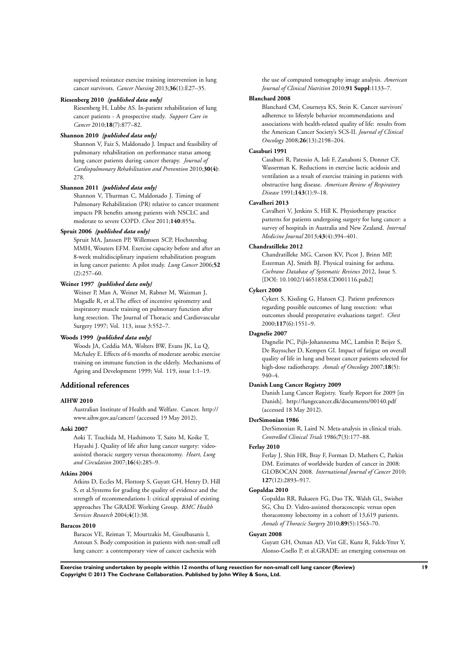supervised resistance exercise training intervention in lung cancer survivors. *Cancer Nursing* 2013;**36**(1):E27–35.

#### **Riesenberg 2010** *{published data only}*

Riesenberg H, Lubbe AS. In-patient rehabilitation of lung cancer patients - A prospective study. *Support Care in Cancer* 2010;**18**(7):877–82.

## **Shannon 2010** *{published data only}*

Shannon V, Faiz S, Maldonado J. Impact and feasibility of pulmonary rehabilitation on performance status among lung cancer patients during cancer therapy. *Journal of Cardiopulmonary Rehabilitation and Prevention* 2010;**30(4)**: 278.

## **Shannon 2011** *{published data only}*

Shannon V, Thurman C, Maldonado J. Timing of Pulmonary Rehabilitation (PR) relative to cancer treatment impacts PR benefits among patients with NSCLC and moderate to severe COPD. *Chest* 2011;**140**:855a.

#### **Spruit 2006** *{published data only}*

Spruit MA, Janssen PP, Willemsen SCP, Hochstenbag MMH, Wouters EFM. Exercise capacity before and after an 8-week multidisciplinary inpatient rehabilitation program in lung cancer patients: A pilot study. *Lung Cancer* 2006;**52**  $(2):257-60.$ 

## **Weiner 1997** *{published data only}*

Weiner P, Man A, Weiner M, Rabner M, Waizman J, Magadle R, et al.The effect of incentive spirometry and inspiratory muscle training on pulmonary function after lung resection. The Journal of Thoracic and Cardiovascular Surgery 1997; Vol. 113, issue 3:552–7.

## **Woods 1999** *{published data only}*

Woods JA, Ceddia MA, Wolters BW, Evans JK, Lu Q, McAuley E. Effects of 6 months of moderate aerobic exercise training on immune function in the elderly. Mechanisms of Ageing and Development 1999; Vol. 119, issue 1:1–19.

## **Additional references**

#### **AIHW 2010**

Australian Institute of Health and Welfare. Cancer. http:// www.aihw.gov.au/cancer/ (accessed 19 May 2012).

#### **Aoki 2007**

Aoki T, Tsuchida M, Hashimoto T, Saito M, Koike T, Hayashi J. Quality of life after lung cancer surgery: videoassisted thoracic surgery versus thoracotomy. *Heart, Lung and Circulation* 2007;**16**(4):285–9.

## **Atkins 2004**

Atkins D, Eccles M, Flottorp S, Guyatt GH, Henry D, Hill S, et al.Systems for grading the quality of evidence and the strength of recommendations I: critical appraisal of existing approaches The GRADE Working Group. *BMC Health Services Research* 2004;**4**(1):38.

## **Baracos 2010**

Baracos VE, Reiman T, Mourtzakis M, Gioulbasanis I, Antoun S. Body composition in patients with non-small cell lung cancer: a contemporary view of cancer cachexia with

the use of computed tomography image analysis. *American Journal of Clinical Nutrition* 2010;**91 Suppl**:1133–7.

## **Blanchard 2008**

Blanchard CM, Courneya KS, Stein K. Cancer survivors' adherence to lifestyle behavior recommendations and associations with health-related quality of life: results from the American Cancer Society's SCS-II. *Journal of Clinical Oncology* 2008;**26**(13):2198–204.

## **Casaburi 1991**

Casaburi R, Patessio A, Ioli F, Zanaboni S, Donner CF, Wasserman K. Reductions in exercise lactic acidosis and ventilation as a result of exercise training in patients with obstructive lung disease. *American Review of Respiratory Disease* 1991;**143**(1):9–18.

#### **Cavalheri 2013**

Cavalheri V, Jenkins S, Hill K. Physiotherapy practice patterns for patients undergoing surgery for lung cancer: a survey of hospitals in Australia and New Zealand. *Internal Medicine Journal* 2013;**43**(4):394–401.

## **Chandratilleke 2012**

Chandratilleke MG, Carson KV, Picot J, Brinn MP, Esterman AJ, Smith BJ. Physical training for asthma. *Cochrane Database of Systematic Reviews* 2012, Issue 5. [DOI: 10.1002/14651858.CD001116.pub2]

## **Cykert 2000**

Cykert S, Kissling G, Hansen CJ. Patient preferences regarding possible outcomes of lung resection: what outcomes should preoperative evaluations target?. *Chest* 2000;**117**(6):1551–9.

#### **Dagnelie 2007**

Dagnelie PC, Pijls-Johannesma MC, Lambin P, Beijer S, De Ruysscher D, Kempen GI. Impact of fatigue on overall quality of life in lung and breast cancer patients selected for high-dose radiotherapy. *Annals of Oncology* 2007;**18**(5): 940–4.

## **Danish Lung Cancer Registry 2009**

Danish Lung Cancer Registry. Yearly Report for 2009 [in Danish]. http://lungecancer.dk/documents/00140.pdf (accessed 18 May 2012).

#### **DerSimonian 1986**

DerSimonian R, Laird N. Meta-analysis in clinical trials. *Controlled Clinical Trials* 1986;**7**(3):177–88.

## **Ferlay 2010**

Ferlay J, Shin HR, Bray F, Forman D, Mathers C, Parkin DM. Estimates of worldwide burden of cancer in 2008: GLOBOCAN 2008. *International Journal of Cancer* 2010; **127**(12):2893–917.

#### **Gopaldas 2010**

Gopaldas RR, Bakaeen FG, Dao TK, Walsh GL, Swisher SG, Chu D. Video-assisted thoracoscopic versus open thoracotomy lobectomy in a cohort of 13,619 patients. *Annals of Thoracic Surgery* 2010;**89**(5):1563–70.

## **Guyatt 2008**

Guyatt GH, Oxman AD, Vist GE, Kunz R, Falck-Ytter Y, Alonso-Coello P, et al.GRADE: an emerging consensus on

**Exercise training undertaken by people within 12 months of lung resection for non-small cell lung cancer (Review) 19 Copyright © 2013 The Cochrane Collaboration. Published by John Wiley & Sons, Ltd.**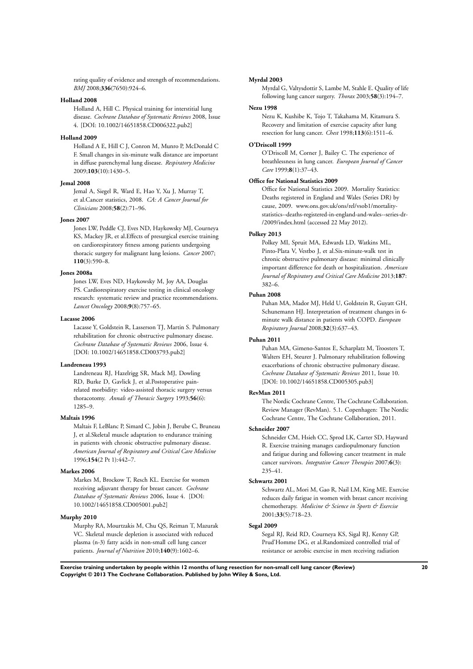rating quality of evidence and strength of recommendations. *BMJ* 2008;**336**(7650):924–6.

## **Holland 2008**

Holland A, Hill C. Physical training for interstitial lung disease. *Cochrane Database of Systematic Reviews* 2008, Issue 4. [DOI: 10.1002/14651858.CD006322.pub2]

#### **Holland 2009**

Holland A E, Hill C J, Conron M, Munro P, McDonald C F. Small changes in six-minute walk distance are important in diffuse parenchymal lung disease. *Respiratory Medicine* 2009;**103**(10):1430–5.

#### **Jemal 2008**

Jemal A, Siegel R, Ward E, Hao Y, Xu J, Murray T, et al.Cancer statistics, 2008. *CA: A Cancer Journal for Clinicians* 2008;**58**(2):71–96.

#### **Jones 2007**

Jones LW, Peddle CJ, Eves ND, Haykowsky MJ, Courneya KS, Mackey JR, et al.Effects of presurgical exercise training on cardiorespiratory fitness among patients undergoing thoracic surgery for malignant lung lesions. *Cancer* 2007; **110**(3):590–8.

#### **Jones 2008a**

Jones LW, Eves ND, Haykowsky M, Joy AA, Douglas PS. Cardiorespiratory exercise testing in clinical oncology research: systematic review and practice recommendations. *Lancet Oncology* 2008;**9**(8):757–65.

#### **Lacasse 2006**

Lacasse Y, Goldstein R, Lasserson TJ, Martin S. Pulmonary rehabilitation for chronic obstructive pulmonary disease. *Cochrane Database of Systematic Reviews* 2006, Issue 4. [DOI: 10.1002/14651858.CD003793.pub2]

#### **Landreneau 1993**

Landreneau RJ, Hazelrigg SR, Mack MJ, Dowling RD, Burke D, Gavlick J, et al.Postoperative painrelated morbidity: video-assisted thoracic surgery versus thoracotomy. *Annals of Thoracic Surgery* 1993;**56**(6): 1285–9.

## **Maltais 1996**

Maltais F, LeBlanc P, Simard C, Jobin J, Berube C, Bruneau J, et al.Skeletal muscle adaptation to endurance training in patients with chronic obstructive pulmonary disease. *American Journal of Respiratory and Critical Care Medicine* 1996;**154**(2 Pt 1):442–7.

## **Markes 2006**

Markes M, Brockow T, Resch KL. Exercise for women receiving adjuvant therapy for breast cancer. *Cochrane Database of Systematic Reviews* 2006, Issue 4. [DOI: 10.1002/14651858.CD005001.pub2]

#### **Murphy 2010**

Murphy RA, Mourtzakis M, Chu QS, Reiman T, Mazurak VC. Skeletal muscle depletion is associated with reduced plasma (n-3) fatty acids in non-small cell lung cancer patients. *Journal of Nutrition* 2010;**140**(9):1602–6.

#### **Myrdal 2003**

Myrdal G, Valtysdottir S, Lambe M, Stahle E. Quality of life following lung cancer surgery. *Thorax* 2003;**58**(3):194–7.

#### **Nezu 1998**

Nezu K, Kushibe K, Tojo T, Takahama M, Kitamura S. Recovery and limitation of exercise capacity after lung resection for lung cancer. *Chest* 1998;**113**(6):1511–6.

#### **O'Driscoll 1999**

O'Driscoll M, Corner J, Bailey C. The experience of breathlessness in lung cancer. *European Journal of Cancer Care* 1999;**8**(1):37–43.

## **Office for National Statistics 2009**

Office for National Statistics 2009. Mortality Statistics: Deaths registered in England and Wales (Series DR) by cause, 2009. www.ons.gov.uk/ons/rel/vsob1/mortalitystatistics--deaths-registered-in-england-and-wales--series-dr- /2009/index.html (accessed 22 May 2012).

#### **Polkey 2013**

Polkey MI, Spruit MA, Edwards LD, Watkins ML, Pinto-Plata V, Vestbo J, et al.Six-minute-walk test in chronic obstructive pulmonary disease: minimal clinically important difference for death or hospitalization. *American Journal of Respiratory and Critical Care Medicine* 2013;**187**: 382–6.

## **Puhan 2008**

Puhan MA, Mador MJ, Held U, Goldstein R, Guyatt GH, Schunemann HJ. Interpretation of treatment changes in 6 minute walk distance in patients with COPD. *European Respiratory Journal* 2008;**32**(3):637–43.

#### **Puhan 2011**

Puhan MA, Gimeno-Santos E, Scharplatz M, Troosters T, Walters EH, Steurer J. Pulmonary rehabilitation following exacerbations of chronic obstructive pulmonary disease. *Cochrane Database of Systematic Reviews* 2011, Issue 10. [DOI: 10.1002/14651858.CD005305.pub3]

## **RevMan 2011**

The Nordic Cochrane Centre, The Cochrane Collaboration. Review Manager (RevMan). 5.1. Copenhagen: The Nordic Cochrane Centre, The Cochrane Collaboration, 2011.

#### **Schneider 2007**

Schneider CM, Hsieh CC, Sprod LK, Carter SD, Hayward R. Exercise training manages cardiopulmonary function and fatigue during and following cancer treatment in male cancer survivors. *Integrative Cancer Therapies* 2007;**6**(3): 235–41.

#### **Schwartz 2001**

Schwartz AL, Mori M, Gao R, Nail LM, King ME. Exercise reduces daily fatigue in women with breast cancer receiving chemotherapy. *Medicine & Science in Sports & Exercise* 2001;**33**(5):718–23.

#### **Segal 2009**

Segal RJ, Reid RD, Courneya KS, Sigal RJ, Kenny GP, Prud'Homme DG, et al.Randomized controlled trial of resistance or aerobic exercise in men receiving radiation

**Exercise training undertaken by people within 12 months of lung resection for non-small cell lung cancer (Review) 20 Copyright © 2013 The Cochrane Collaboration. Published by John Wiley & Sons, Ltd.**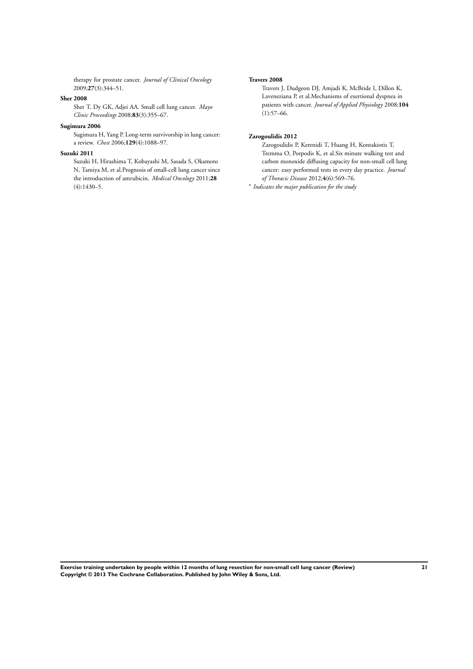therapy for prostate cancer. *Journal of Clinical Oncology* 2009;**27**(3):344–51.

## **Sher 2008**

Sher T, Dy GK, Adjei AA. Small cell lung cancer. *Mayo Clinic Proceedings* 2008;**83**(3):355–67.

## **Sugimura 2006**

Sugimura H, Yang P. Long-term survivorship in lung cancer: a review. *Chest* 2006;**129**(4):1088–97.

## **Suzuki 2011**

Suzuki H, Hirashima T, Kobayashi M, Sasada S, Okamoto N, Tamiya M, et al.Prognosis of small-cell lung cancer since the introduction of amrubicin. *Medical Oncology* 2011;**28** (4):1430–5.

#### **Travers 2008**

Travers J, Dudgeon DJ, Amjadi K, McBride I, Dillon K, Laveneziana P, et al.Mechanisms of exertional dyspnea in patients with cancer. *Journal of Applied Physiology* 2008;**104**  $(1):$ 57–66.

## **Zarogoulidis 2012**

Zarogoulidis P, Kerenidi T, Huang H, Kontakiotis T, Tremma O, Porpodis K, et al.Six minute walking test and carbon monoxide diffusing capacity for non-small cell lung cancer: easy performed tests in every day practice. *Journal of Thoracic Disease* 2012;**4**(6):569–76.

<sup>∗</sup> *Indicates the major publication for the study*

**Exercise training undertaken by people within 12 months of lung resection for non-small cell lung cancer (Review) 21 Copyright © 2013 The Cochrane Collaboration. Published by John Wiley & Sons, Ltd.**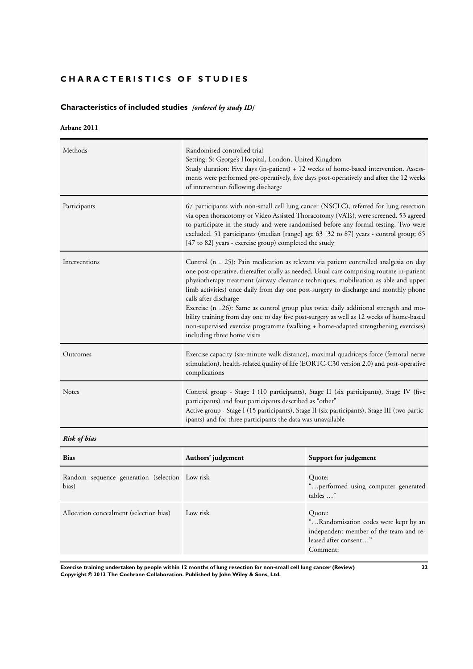## **CHARACTERISTICS OF STUDIES**

## **Characteristics of included studies** *[ordered by study ID]*

## **Arbane 2011**

| Methods       | Randomised controlled trial<br>Setting: St George's Hospital, London, United Kingdom<br>Study duration: Five days (in-patient) + 12 weeks of home-based intervention. Assess-<br>ments were performed pre-operatively, five days post-operatively and after the 12 weeks<br>of intervention following discharge                                                                                                                                                                                                                                                                                                                                                                                      |
|---------------|------------------------------------------------------------------------------------------------------------------------------------------------------------------------------------------------------------------------------------------------------------------------------------------------------------------------------------------------------------------------------------------------------------------------------------------------------------------------------------------------------------------------------------------------------------------------------------------------------------------------------------------------------------------------------------------------------|
| Participants  | 67 participants with non-small cell lung cancer (NSCLC), referred for lung resection<br>via open thoracotomy or Video Assisted Thoracotomy (VATs), were screened. 53 agreed<br>to participate in the study and were randomised before any formal testing. Two were<br>excluded. 51 participants (median [range] age 63 [32 to 87] years - control group; 65<br>[47 to 82] years - exercise group) completed the study                                                                                                                                                                                                                                                                                |
| Interventions | Control (n = 25): Pain medication as relevant via patient controlled analgesia on day<br>one post-operative, thereafter orally as needed. Usual care comprising routine in-patient<br>physiotherapy treatment (airway clearance techniques, mobilisation as able and upper<br>limb activities) once daily from day one post-surgery to discharge and monthly phone<br>calls after discharge<br>Exercise (n = 26): Same as control group plus twice daily additional strength and mo-<br>bility training from day one to day five post-surgery as well as 12 weeks of home-based<br>non-supervised exercise programme (walking + home-adapted strengthening exercises)<br>including three home visits |
| Outcomes      | Exercise capacity (six-minute walk distance), maximal quadriceps force (femoral nerve<br>stimulation), health-related quality of life (EORTC-C30 version 2.0) and post-operative<br>complications                                                                                                                                                                                                                                                                                                                                                                                                                                                                                                    |
| Notes         | Control group - Stage I (10 participants), Stage II (six participants), Stage IV (five<br>participants) and four participants described as "other"<br>Active group - Stage I (15 participants), Stage II (six participants), Stage III (two partic-<br>ipants) and for three participants the data was unavailable                                                                                                                                                                                                                                                                                                                                                                                   |

*Risk of bias*

| <b>Bias</b>                                             | Authors' judgement | Support for judgement                                                                                                         |
|---------------------------------------------------------|--------------------|-------------------------------------------------------------------------------------------------------------------------------|
| Random sequence generation (selection Low risk<br>bias) |                    | Quote:<br>" performed using computer generated<br>tables "                                                                    |
| Allocation concealment (selection bias)                 | Low risk           | Ouote:<br>"Randomisation codes were kept by an<br>independent member of the team and re-<br>leased after consent"<br>Comment: |

**Exercise training undertaken by people within 12 months of lung resection for non-small cell lung cancer (Review) 22 Copyright © 2013 The Cochrane Collaboration. Published by John Wiley & Sons, Ltd.**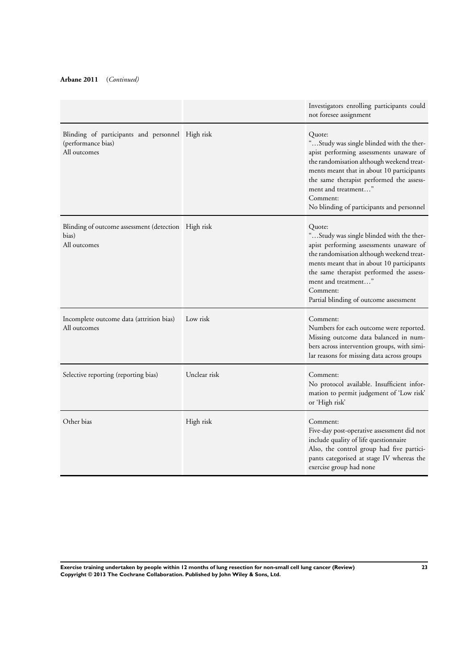## **Arbane 2011** (*Continued)*

|                                                                                        |              | Investigators enrolling participants could<br>not foresee assignment                                                                                                                                                                                                                                                |
|----------------------------------------------------------------------------------------|--------------|---------------------------------------------------------------------------------------------------------------------------------------------------------------------------------------------------------------------------------------------------------------------------------------------------------------------|
| Blinding of participants and personnel High risk<br>(performance bias)<br>All outcomes |              | Quote:<br>"Study was single blinded with the ther-<br>apist performing assessments unaware of<br>the randomisation although weekend treat-<br>ments meant that in about 10 participants<br>the same therapist performed the assess-<br>ment and treatment"<br>Comment:<br>No blinding of participants and personnel |
| Blinding of outcome assessment (detection High risk<br>bias)<br>All outcomes           |              | Quote:<br>"Study was single blinded with the ther-<br>apist performing assessments unaware of<br>the randomisation although weekend treat-<br>ments meant that in about 10 participants<br>the same therapist performed the assess-<br>ment and treatment"<br>Comment:<br>Partial blinding of outcome assessment    |
| Incomplete outcome data (attrition bias)<br>All outcomes                               | Low risk     | Comment:<br>Numbers for each outcome were reported.<br>Missing outcome data balanced in num-<br>bers across intervention groups, with simi-<br>lar reasons for missing data across groups                                                                                                                           |
| Selective reporting (reporting bias)                                                   | Unclear risk | Comment:<br>No protocol available. Insufficient infor-<br>mation to permit judgement of 'Low risk'<br>or 'High risk'                                                                                                                                                                                                |
| Other bias                                                                             | High risk    | Comment:<br>Five-day post-operative assessment did not<br>include quality of life questionnaire<br>Also, the control group had five partici-<br>pants categorised at stage IV whereas the<br>exercise group had none                                                                                                |

**Exercise training undertaken by people within 12 months of lung resection for non-small cell lung cancer (Review) 23 Copyright © 2013 The Cochrane Collaboration. Published by John Wiley & Sons, Ltd.**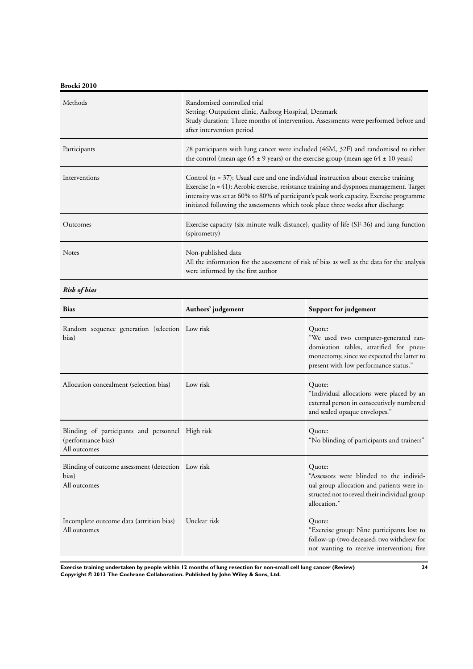| Methods       | Randomised controlled trial<br>Setting: Outpatient clinic, Aalborg Hospital, Denmark<br>Study duration: Three months of intervention. Assessments were performed before and<br>after intervention period                                                                                                                                                              |
|---------------|-----------------------------------------------------------------------------------------------------------------------------------------------------------------------------------------------------------------------------------------------------------------------------------------------------------------------------------------------------------------------|
| Participants  | 78 participants with lung cancer were included (46M, 32F) and randomised to either<br>the control (mean age 65 $\pm$ 9 years) or the exercise group (mean age 64 $\pm$ 10 years)                                                                                                                                                                                      |
| Interventions | Control $(n = 37)$ : Usual care and one individual instruction about exercise training<br>Exercise ( $n = 41$ ): Aerobic exercise, resistance training and dyspnoea management. Target<br>intensity was set at 60% to 80% of participant's peak work capacity. Exercise programme<br>initiated following the assessments which took place three weeks after discharge |
| Outcomes      | Exercise capacity (six-minute walk distance), quality of life (SF-36) and lung function<br>(spirometry)                                                                                                                                                                                                                                                               |
| <b>Notes</b>  | Non-published data<br>All the information for the assessment of risk of bias as well as the data for the analysis<br>were informed by the first author                                                                                                                                                                                                                |

## *Risk of bias*

| <b>Bias</b>                                                                            | Authors' judgement | Support for judgement                                                                                                                                                            |
|----------------------------------------------------------------------------------------|--------------------|----------------------------------------------------------------------------------------------------------------------------------------------------------------------------------|
| Random sequence generation (selection Low risk<br>bias)                                |                    | Quote:<br>"We used two computer-generated ran-<br>domisation tables, stratified for pneu-<br>monectomy, since we expected the latter to<br>present with low performance status." |
| Allocation concealment (selection bias)                                                | Low risk           | Quote:<br>"Individual allocations were placed by an<br>external person in consecutively numbered<br>and sealed opaque envelopes."                                                |
| Blinding of participants and personnel High risk<br>(performance bias)<br>All outcomes |                    | Quote:<br>"No blinding of participants and trainers"                                                                                                                             |
| Blinding of outcome assessment (detection Low risk<br>bias)<br>All outcomes            |                    | Quote:<br>"Assessors were blinded to the individ-<br>ual group allocation and patients were in-<br>structed not to reveal their individual group<br>allocation."                 |
| Incomplete outcome data (attrition bias)<br>All outcomes                               | Unclear risk       | Quote:<br>"Exercise group: Nine participants lost to<br>follow-up (two deceased; two withdrew for<br>not wanting to receive intervention; five                                   |

**Exercise training undertaken by people within 12 months of lung resection for non-small cell lung cancer (Review) 24 Copyright © 2013 The Cochrane Collaboration. Published by John Wiley & Sons, Ltd.**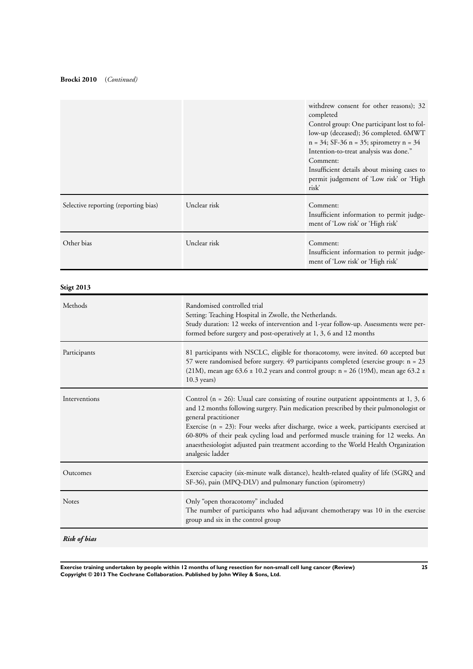## **Brocki 2010** (*Continued)*

|                                      |              | withdrew consent for other reasons); 32<br>completed<br>Control group: One participant lost to fol-<br>low-up (deceased); 36 completed. 6MWT<br>$n = 34$ ; SF-36 $n = 35$ ; spirometry $n = 34$<br>Intention-to-treat analysis was done."<br>Comment:<br>Insufficient details about missing cases to<br>permit judgement of 'Low risk' or 'High<br>risk <sup>2</sup> |
|--------------------------------------|--------------|----------------------------------------------------------------------------------------------------------------------------------------------------------------------------------------------------------------------------------------------------------------------------------------------------------------------------------------------------------------------|
| Selective reporting (reporting bias) | Unclear risk | Comment:<br>Insufficient information to permit judge-<br>ment of 'Low risk' or 'High risk'                                                                                                                                                                                                                                                                           |
| Other bias                           | Unclear risk | Comment:<br>Insufficient information to permit judge-<br>ment of 'Low risk' or 'High risk'                                                                                                                                                                                                                                                                           |

**Stigt 2013**

| Methods             | Randomised controlled trial<br>Setting: Teaching Hospital in Zwolle, the Netherlands.<br>Study duration: 12 weeks of intervention and 1-year follow-up. Assessments were per-<br>formed before surgery and post-operatively at 1, 3, 6 and 12 months                                                                                                                                                                                                                                                 |
|---------------------|------------------------------------------------------------------------------------------------------------------------------------------------------------------------------------------------------------------------------------------------------------------------------------------------------------------------------------------------------------------------------------------------------------------------------------------------------------------------------------------------------|
| Participants        | 81 participants with NSCLC, eligible for thoracotomy, were invited. 60 accepted but<br>57 were randomised before surgery. 49 participants completed (exercise group: n = 23<br>(21M), mean age 63.6 $\pm$ 10.2 years and control group: n = 26 (19M), mean age 63.2 $\pm$<br>$10.3$ years)                                                                                                                                                                                                           |
| Interventions       | Control ( $n = 26$ ): Usual care consisting of routine outpatient appointments at 1, 3, 6<br>and 12 months following surgery. Pain medication prescribed by their pulmonologist or<br>general practitioner<br>Exercise (n = 23): Four weeks after discharge, twice a week, participants exercised at<br>60-80% of their peak cycling load and performed muscle training for 12 weeks. An<br>anaesthesiologist adjusted pain treatment according to the World Health Organization<br>analgesic ladder |
| Outcomes            | Exercise capacity (six-minute walk distance), health-related quality of life (SGRQ and<br>SF-36), pain (MPQ-DLV) and pulmonary function (spirometry)                                                                                                                                                                                                                                                                                                                                                 |
| <b>Notes</b>        | Only "open thoracotomy" included<br>The number of participants who had adjuvant chemotherapy was 10 in the exercise<br>group and six in the control group                                                                                                                                                                                                                                                                                                                                            |
| <b>Risk of bias</b> |                                                                                                                                                                                                                                                                                                                                                                                                                                                                                                      |

**Exercise training undertaken by people within 12 months of lung resection for non-small cell lung cancer (Review) 25 Copyright © 2013 The Cochrane Collaboration. Published by John Wiley & Sons, Ltd.**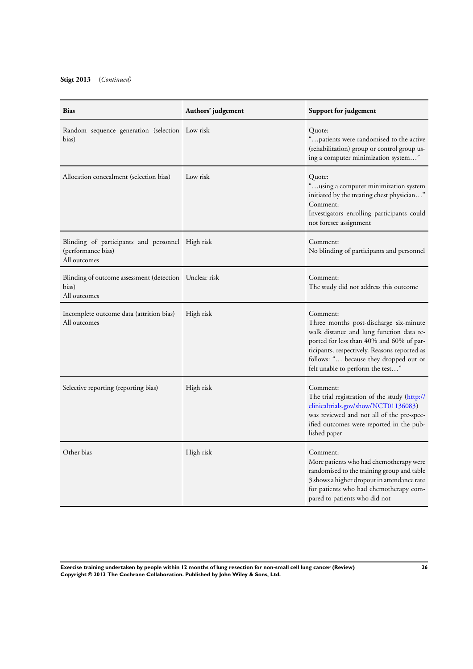| <b>Bias</b>                                                                            | Authors' judgement | Support for judgement                                                                                                                                                                                                                                                    |
|----------------------------------------------------------------------------------------|--------------------|--------------------------------------------------------------------------------------------------------------------------------------------------------------------------------------------------------------------------------------------------------------------------|
| Random sequence generation (selection Low risk<br>bias)                                |                    | Quote:<br>" patients were randomised to the active<br>(rehabilitation) group or control group us-<br>ing a computer minimization system"                                                                                                                                 |
| Allocation concealment (selection bias)                                                | Low risk           | Quote:<br>"using a computer minimization system<br>initiated by the treating chest physician"<br>Comment:<br>Investigators enrolling participants could<br>not foresee assignment                                                                                        |
| Blinding of participants and personnel High risk<br>(performance bias)<br>All outcomes |                    | Comment:<br>No blinding of participants and personnel                                                                                                                                                                                                                    |
| Blinding of outcome assessment (detection Unclear risk<br>bias)<br>All outcomes        |                    | Comment:<br>The study did not address this outcome                                                                                                                                                                                                                       |
| Incomplete outcome data (attrition bias)<br>All outcomes                               | High risk          | Comment:<br>Three months post-discharge six-minute<br>walk distance and lung function data re-<br>ported for less than 40% and 60% of par-<br>ticipants, respectively. Reasons reported as<br>follows: " because they dropped out or<br>felt unable to perform the test" |
| Selective reporting (reporting bias)                                                   | High risk          | Comment:<br>The trial registration of the study (http://<br>clinicaltrials.gov/show/NCT01136083)<br>was reviewed and not all of the pre-spec-<br>ified outcomes were reported in the pub-<br>lished paper                                                                |
| Other bias                                                                             | High risk          | Comment:<br>More patients who had chemotherapy were<br>randomised to the training group and table<br>3 shows a higher dropout in attendance rate<br>for patients who had chemotherapy com-<br>pared to patients who did not                                              |

**Exercise training undertaken by people within 12 months of lung resection for non-small cell lung cancer (Review) 26 Copyright © 2013 The Cochrane Collaboration. Published by John Wiley & Sons, Ltd.**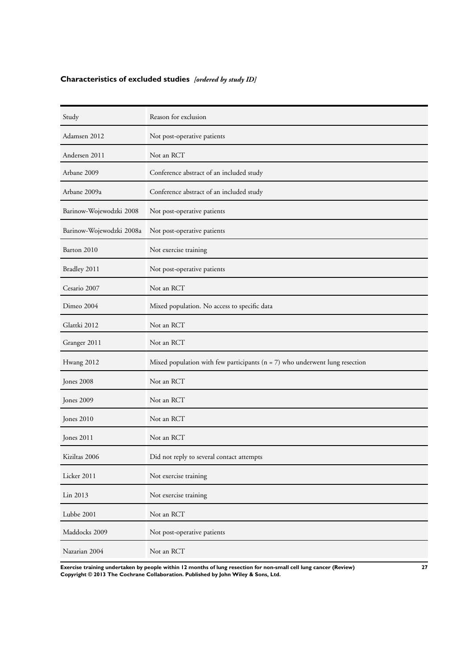## **Characteristics of excluded studies** *[ordered by study ID]*

| Study                    | Reason for exclusion                                                            |
|--------------------------|---------------------------------------------------------------------------------|
| Adamsen 2012             | Not post-operative patients                                                     |
| Andersen 2011            | Not an RCT                                                                      |
| Arbane 2009              | Conference abstract of an included study                                        |
| Arbane 2009a             | Conference abstract of an included study                                        |
| Barinow-Wojewodzki 2008  | Not post-operative patients                                                     |
| Barinow-Wojewodzki 2008a | Not post-operative patients                                                     |
| Barton 2010              | Not exercise training                                                           |
| Bradley 2011             | Not post-operative patients                                                     |
| Cesario 2007             | Not an RCT                                                                      |
| Dimeo 2004               | Mixed population. No access to specific data                                    |
| Glattki 2012             | Not an RCT                                                                      |
| Granger 2011             | Not an RCT                                                                      |
| Hwang 2012               | Mixed population with few participants ( $n = 7$ ) who underwent lung resection |
| Jones 2008               | Not an RCT                                                                      |
| Jones 2009               | Not an RCT                                                                      |
| Jones 2010               | Not an RCT                                                                      |
| Jones 2011               | Not an RCT                                                                      |
| Kiziltas 2006            | Did not reply to several contact attempts                                       |
| Licker 2011              | Not exercise training                                                           |
| Lin 2013                 | Not exercise training                                                           |
| Lubbe 2001               | Not an RCT                                                                      |
| Maddocks 2009            | Not post-operative patients                                                     |
| Nazarian 2004            | Not an RCT                                                                      |

**Exercise training undertaken by people within 12 months of lung resection for non-small cell lung cancer (Review) 27 Copyright © 2013 The Cochrane Collaboration. Published by John Wiley & Sons, Ltd.**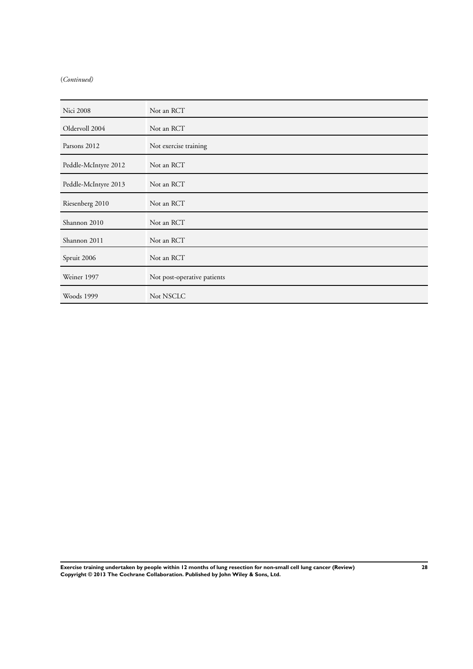## (*Continued)*

| <b>Nici 2008</b>     | Not an RCT                  |
|----------------------|-----------------------------|
| Oldervoll 2004       | Not an RCT                  |
| Parsons 2012         | Not exercise training       |
| Peddle-McIntyre 2012 | Not an RCT                  |
| Peddle-McIntyre 2013 | Not an RCT                  |
| Riesenberg 2010      | Not an RCT                  |
| Shannon 2010         | Not an RCT                  |
| Shannon 2011         | Not an RCT                  |
| Spruit 2006          | Not an RCT                  |
| Weiner 1997          | Not post-operative patients |
| Woods 1999           | Not NSCLC                   |

**Exercise training undertaken by people within 12 months of lung resection for non-small cell lung cancer (Review) 28 Copyright © 2013 The Cochrane Collaboration. Published by John Wiley & Sons, Ltd.**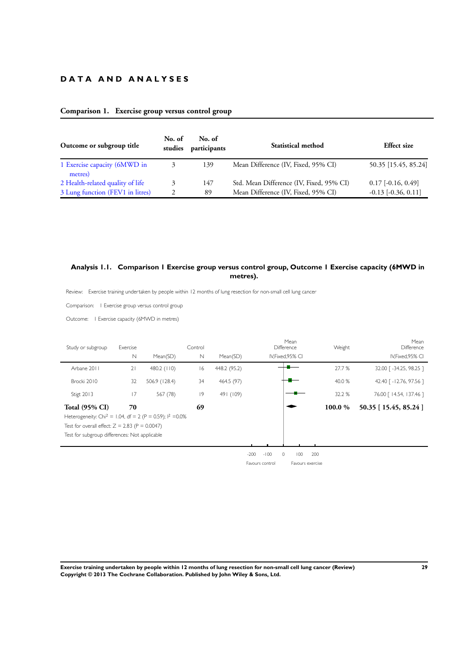## **DATA AND ANALYSES**

| Outcome or subgroup title               | No. of<br>studies | No. of<br>participants | <b>Statistical method</b>                | <b>Effect</b> size      |
|-----------------------------------------|-------------------|------------------------|------------------------------------------|-------------------------|
| 1 Exercise capacity (6MWD in<br>metres) | 3                 | 139                    | Mean Difference (IV, Fixed, 95% CI)      | 50.35 [15.45, 85.24]    |
| 2 Health-related quality of life        | 3                 | 147                    | Std. Mean Difference (IV, Fixed, 95% CI) | $0.17$ [-0.16, 0.49]    |
| 3 Lung function (FEV1 in litres)        | ∠                 | 89                     | Mean Difference (IV, Fixed, 95% CI)      | $-0.13$ $[-0.36, 0.11]$ |

## **Comparison 1. Exercise group versus control group**

## **Analysis 1.1. Comparison 1 Exercise group versus control group, Outcome 1 Exercise capacity (6MWD in metres).**

Review: Exercise training under taken by people within 12 months of lung resection for non-small cell lung cancer

Comparison: 1 Exercise group versus control group

Outcome: 1 Exercise capacity (6MWD in metres)

| Study or subgroup                                                                                                                                                                                              | Exercise   |               | Control    |              | Mean<br>Difference                                                         | Weight | Mean<br>Difference      |
|----------------------------------------------------------------------------------------------------------------------------------------------------------------------------------------------------------------|------------|---------------|------------|--------------|----------------------------------------------------------------------------|--------|-------------------------|
|                                                                                                                                                                                                                | $\hbox{N}$ | Mean(SD)      | $\hbox{N}$ | Mean(SD)     | IV, Fixed, 95% CI                                                          |        | IV,Fixed,95% CI         |
| Arbane 2011                                                                                                                                                                                                    | 21         | 480.2 (110)   | 16         | 448.2 (95.2) | <b>March 2019</b>                                                          | 27.7 % | 32.00 [ -34.25, 98.25 ] |
| Brocki 2010                                                                                                                                                                                                    | 32         | 506.9 (128.4) | 34         | 464.5 (97)   |                                                                            | 40.0 % | 42.40 [-12.76, 97.56]   |
| <b>Stigt 2013</b>                                                                                                                                                                                              | 17         | 567 (78)      | 9          | 491 (109)    |                                                                            | 32.2 % | 76.00 [ 14.54, 137.46 ] |
| <b>Total (95% CI)</b><br>Heterogeneity: Chi <sup>2</sup> = 1.04, df = 2 (P = 0.59); l <sup>2</sup> = 0.0%<br>Test for overall effect: $Z = 2.83$ (P = 0.0047)<br>Test for subgroup differences: Not applicable | 70         |               | 69         |              | $-100$<br>100<br>200<br>$-200$<br>O<br>Favours control<br>Favours exercise | 100.0% | 50.35 [15.45, 85.24]    |

**Exercise training undertaken by people within 12 months of lung resection for non-small cell lung cancer (Review) 29 Copyright © 2013 The Cochrane Collaboration. Published by John Wiley & Sons, Ltd.**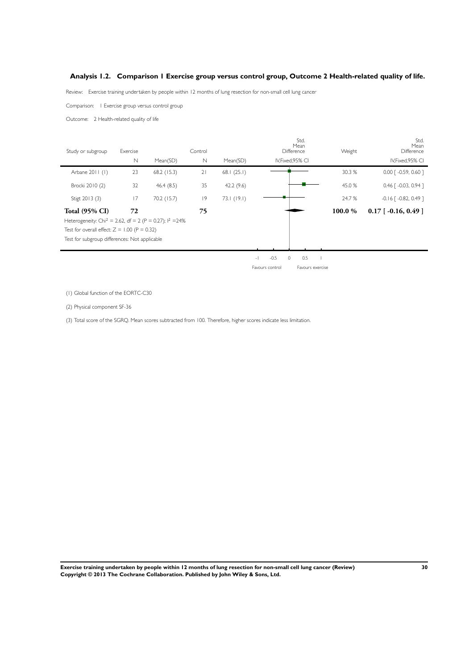## **Analysis 1.2. Comparison 1 Exercise group versus control group, Outcome 2 Health-related quality of life.**

Review: Exercise training undertaken by people within 12 months of lung resection for non-small cell lung cancer

Comparison: 1 Exercise group versus control group

Outcome: 2 Health-related quality of life

|                                                                                                   |                         |             |                                |             | Std.<br>Mean                                                                                                     |                                    | Std.<br>Mean                    |
|---------------------------------------------------------------------------------------------------|-------------------------|-------------|--------------------------------|-------------|------------------------------------------------------------------------------------------------------------------|------------------------------------|---------------------------------|
| Study or subgroup                                                                                 | Exercise<br>$\mathbb N$ | Mean(SD)    | Control<br>$\mathsf{N}\xspace$ | Mean(SD)    | Difference<br>IV, Fixed, 95% CI                                                                                  | Weight                             | Difference<br>IV, Fixed, 95% CI |
| Arbane 2011 (1)                                                                                   | 23                      | 68.2 (15.3) | 21                             | 68.1 (25.1) |                                                                                                                  | 30.3 %                             | $0.00$ [ -0.59, 0.60 ]          |
| Brocki 2010 (2)                                                                                   | 32                      | 46.4(8.5)   | 35                             | 42.2 (9.6)  |                                                                                                                  | 45.0 %                             | $0.46$ [ -0.03, 0.94 ]          |
| Stigt 2013 (3)                                                                                    | 17                      | 70.2 (15.7) | 9                              | 73.1 (19.1) |                                                                                                                  | 24.7 %                             | $-0.16$ [ $-0.82$ , 0.49]       |
|                                                                                                   | $72\,$                  |             |                                |             |                                                                                                                  |                                    |                                 |
| Total (95% CI)<br>Heterogeneity: Chi <sup>2</sup> = 2.62, df = 2 (P = 0.27); l <sup>2</sup> = 24% |                         |             | 75                             |             |                                                                                                                  | $100.0\ \%$                        | $0.17$ [ -0.16, 0.49 ]          |
| Test for overall effect: $Z = 1.00$ (P = 0.32)                                                    |                         |             |                                |             |                                                                                                                  |                                    |                                 |
| Test for subgroup differences: Not applicable                                                     |                         |             |                                |             |                                                                                                                  |                                    |                                 |
|                                                                                                   |                         |             |                                |             |                                                                                                                  |                                    |                                 |
|                                                                                                   |                         |             |                                |             | $-0.5$<br>0.5<br>$\overline{\phantom{a}}$<br>0<br>Favours control                                                | $\overline{1}$<br>Favours exercise |                                 |
|                                                                                                   |                         |             |                                |             |                                                                                                                  |                                    |                                 |
|                                                                                                   |                         |             |                                |             |                                                                                                                  |                                    |                                 |
| (1) Global function of the EORTC-C30                                                              |                         |             |                                |             |                                                                                                                  |                                    |                                 |
| (2) Physical component SF-36                                                                      |                         |             |                                |             |                                                                                                                  |                                    |                                 |
|                                                                                                   |                         |             |                                |             | (3) Total score of the SGRQ. Mean scores subtracted from 100. Therefore, higher scores indicate less limitation. |                                    |                                 |
|                                                                                                   |                         |             |                                |             |                                                                                                                  |                                    |                                 |
|                                                                                                   |                         |             |                                |             |                                                                                                                  |                                    |                                 |
|                                                                                                   |                         |             |                                |             |                                                                                                                  |                                    |                                 |
|                                                                                                   |                         |             |                                |             |                                                                                                                  |                                    |                                 |
|                                                                                                   |                         |             |                                |             |                                                                                                                  |                                    |                                 |
|                                                                                                   |                         |             |                                |             |                                                                                                                  |                                    |                                 |
|                                                                                                   |                         |             |                                |             |                                                                                                                  |                                    |                                 |
|                                                                                                   |                         |             |                                |             |                                                                                                                  |                                    |                                 |
|                                                                                                   |                         |             |                                |             |                                                                                                                  |                                    |                                 |
|                                                                                                   |                         |             |                                |             |                                                                                                                  |                                    |                                 |
|                                                                                                   |                         |             |                                |             |                                                                                                                  |                                    |                                 |
|                                                                                                   |                         |             |                                |             |                                                                                                                  |                                    |                                 |
|                                                                                                   |                         |             |                                |             |                                                                                                                  |                                    |                                 |
|                                                                                                   |                         |             |                                |             |                                                                                                                  |                                    |                                 |
|                                                                                                   |                         |             |                                |             |                                                                                                                  |                                    |                                 |
|                                                                                                   |                         |             |                                |             |                                                                                                                  |                                    |                                 |
|                                                                                                   |                         |             |                                |             |                                                                                                                  |                                    |                                 |
|                                                                                                   |                         |             |                                |             |                                                                                                                  |                                    |                                 |
|                                                                                                   |                         |             |                                |             |                                                                                                                  |                                    |                                 |
|                                                                                                   |                         |             |                                |             |                                                                                                                  |                                    |                                 |
|                                                                                                   |                         |             |                                |             |                                                                                                                  |                                    |                                 |

**Exercise training undertaken by people within 12 months of lung resection for non-small cell lung cancer (Review) 30 Copyright © 2013 The Cochrane Collaboration. Published by John Wiley & Sons, Ltd.**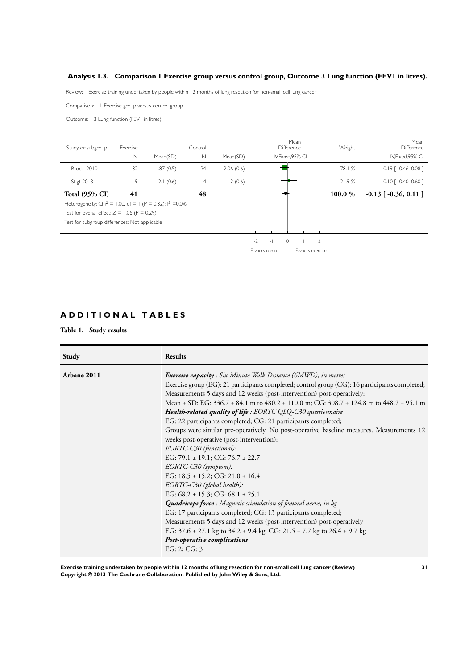## **Analysis 1.3. Comparison 1 Exercise group versus control group, Outcome 3 Lung function (FEV1 in litres).**

Review: Exercise training undertaken by people within 12 months of lung resection for non-small cell lung cancer

Comparison: 1 Exercise group versus control group

Outcome: 3 Lung function (FEV1 in litres)

| Study or subgroup                                                                                                                                                                                            | Exercise    |           | Control |           | Mean<br>Difference              | Weight                                        | Mean<br>Difference                 |
|--------------------------------------------------------------------------------------------------------------------------------------------------------------------------------------------------------------|-------------|-----------|---------|-----------|---------------------------------|-----------------------------------------------|------------------------------------|
|                                                                                                                                                                                                              | $\mathbb N$ | Mean(SD)  | N       | Mean(SD)  | IV, Fixed, 95% CI               |                                               | IV, Fixed, 95% CI                  |
| Brocki 2010                                                                                                                                                                                                  | 32          | 1.87(0.5) | 34      | 2.06(0.6) |                                 | 78.1%                                         | $-0.19$ $[-0.46, 0.08]$            |
| Stigt 2013                                                                                                                                                                                                   | 9           | 2.1(0.6)  | 4       | 2(0.6)    |                                 | 21.9%                                         | $0.10$ $\lceil -0.40, 0.60 \rceil$ |
| <b>Total (95% CI)</b><br>Heterogeneity: Chi <sup>2</sup> = 1.00, df = 1 (P = 0.32); l <sup>2</sup> = 0.0%<br>Test for overall effect: $Z = 1.06$ (P = 0.29)<br>Test for subgroup differences: Not applicable | 41          |           | 48      |           | $-2$<br>$-1$<br>Favours control | 100.0 %<br>$\overline{2}$<br>Favours exercise | $-0.13$ [ $-0.36$ , 0.11 ]         |

## **ADDITIONAL TABLES**

**Table 1. Study results**

| Study       | <b>Results</b>                                                                                                                                                                                                                                    |
|-------------|---------------------------------------------------------------------------------------------------------------------------------------------------------------------------------------------------------------------------------------------------|
| Arbane 2011 | <b>Exercise capacity</b> : Six-Minute Walk Distance (6MWD), in metres<br>Exercise group (EG): 21 participants completed; control group (CG): 16 participants completed;<br>Measurements 5 days and 12 weeks (post-intervention) post-operatively: |
|             | Mean ± SD: EG: $336.7 \pm 84.1$ m to $480.2 \pm 110.0$ m; CG: $308.7 \pm 124.8$ m to $448.2 \pm 95.1$ m<br>Health-related quality of life : EORTC QLQ-C30 questionnaire                                                                           |
|             | EG: 22 participants completed; CG: 21 participants completed;<br>Groups were similar pre-operatively. No post-operative baseline measures. Measurements 12                                                                                        |
|             | weeks post-operative (post-intervention):<br>EORTC-C30 (functional):                                                                                                                                                                              |
|             | EG: $79.1 \pm 19.1$ ; CG: $76.7 \pm 22.7$<br>EORTC-C30 (symptom):<br>EG: $18.5 \pm 15.2$ ; CG: $21.0 \pm 16.4$                                                                                                                                    |
|             | EORTC-C30 (global health):<br>EG: $68.2 \pm 15.3$ ; CG: $68.1 \pm 25.1$                                                                                                                                                                           |
|             | <b>Quadriceps force</b> : Magnetic stimulation of femoral nerve, in kg<br>EG: 17 participants completed; CG: 13 participants completed;                                                                                                           |
|             | Measurements 5 days and 12 weeks (post-intervention) post-operatively<br>EG: $37.6 \pm 27.1$ kg to $34.2 \pm 9.4$ kg; CG: $21.5 \pm 7.7$ kg to $26.4 \pm 9.7$ kg                                                                                  |
|             | Post-operative complications<br>EG: 2; CG: 3                                                                                                                                                                                                      |

**Exercise training undertaken by people within 12 months of lung resection for non-small cell lung cancer (Review) 31 Copyright © 2013 The Cochrane Collaboration. Published by John Wiley & Sons, Ltd.**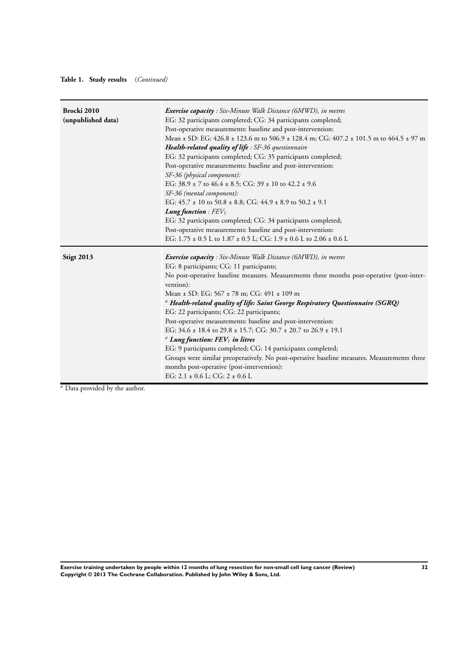## **Table 1. Study results** (*Continued)*

| Brocki 2010<br>(unpublished data) | <b>Exercise capacity</b> : Six-Minute Walk Distance (6MWD), in metres<br>EG: 32 participants completed; CG: 34 participants completed;<br>Post-operative measurements: baseline and post-intervention:<br>Mean ± SD: EG: $426.8 \pm 123.6$ m to $506.9 \pm 128.4$ m; CG: $407.2 \pm 101.5$ m to $464.5 \pm 97$ m<br>Health-related quality of life : SF-36 questionnaire<br>EG: 32 participants completed; CG: 35 participants completed;<br>Post-operative measurements: baseline and post-intervention:<br>SF-36 (physical component):<br>EG: $38.9 \pm 7$ to $46.4 \pm 8.5$ ; CG: $39 \pm 10$ to $42.2 \pm 9.6$<br>SF-36 (mental component):<br>EG: $45.7 \pm 10$ to $50.8 \pm 8.8$ ; CG: $44.9 \pm 8.9$ to $50.2 \pm 9.1$<br><b>Lung function</b> : $FEV_1$<br>EG: 32 participants completed; CG: 34 participants completed;<br>Post-operative measurements: baseline and post-intervention:                                                                                       |
|-----------------------------------|----------------------------------------------------------------------------------------------------------------------------------------------------------------------------------------------------------------------------------------------------------------------------------------------------------------------------------------------------------------------------------------------------------------------------------------------------------------------------------------------------------------------------------------------------------------------------------------------------------------------------------------------------------------------------------------------------------------------------------------------------------------------------------------------------------------------------------------------------------------------------------------------------------------------------------------------------------------------------------------|
| <b>Stigt 2013</b>                 | EG: $1.75 \pm 0.5$ L to $1.87 \pm 0.5$ L; CG: $1.9 \pm 0.6$ L to $2.06 \pm 0.6$ L<br><b>Exercise capacity</b> : Six-Minute Walk Distance (6MWD), in metres<br>EG: 8 participants; CG: 11 participants;<br>No post-operative baseline measures. Measurements three months post-operative (post-inter-<br>vention):<br>Mean $\pm$ SD: EG: 567 $\pm$ 78 m; CG: 491 $\pm$ 109 m<br><sup>a</sup> Health-related quality of life: Saint George Respiratory Questionnaire (SGRQ)<br>EG: 22 participants; CG: 22 participants;<br>Post-operative measurements: baseline and post-intervention:<br>EG: $34.6 \pm 18.4$ to $29.8 \pm 15.7$ ; CG: $30.7 \pm 20.7$ to $26.9 \pm 19.1$<br>$\alpha$ Lung function: FEV <sub>1</sub> in litres<br>EG: 9 participants completed; CG: 14 participants completed;<br>Groups were similar preoperatively. No post-operative baseline measures. Measurements three<br>months post-operative (post-intervention):<br>EG: $2.1 \pm 0.6$ L; CG: $2 \pm 0.6$ L |

*<sup>a</sup>* Data provided by the author.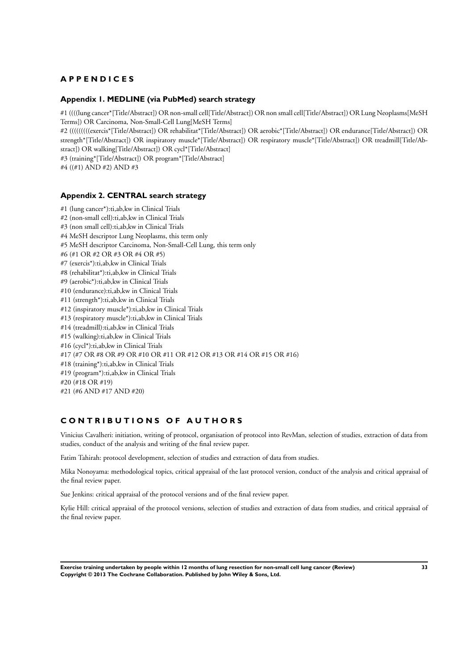## **APPENDICES**

## **Appendix 1. MEDLINE (via PubMed) search strategy**

#1 ((((lung cancer\*[Title/Abstract]) OR non-small cell[Title/Abstract]) OR non small cell[Title/Abstract]) OR Lung Neoplasms[MeSH Terms]) OR Carcinoma, Non-Small-Cell Lung[MeSH Terms]

#2 (((((((((exercis\*[Title/Abstract]) OR rehabilitat\*[Title/Abstract]) OR aerobic\*[Title/Abstract]) OR endurance[Title/Abstract]) OR strength\*[Title/Abstract]) OR inspiratory muscle\*[Title/Abstract]) OR respiratory muscle\*[Title/Abstract]) OR treadmill[Title/Abstract]) OR walking[Title/Abstract]) OR cycl\*[Title/Abstract]

#3 (training\*[Title/Abstract]) OR program\*[Title/Abstract]

#4 ((#1) AND #2) AND #3

## **Appendix 2. CENTRAL search strategy**

#1 (lung cancer\*):ti,ab,kw in Clinical Trials #2 (non-small cell):ti,ab,kw in Clinical Trials #3 (non small cell):ti,ab,kw in Clinical Trials #4 MeSH descriptor Lung Neoplasms, this term only #5 MeSH descriptor Carcinoma, Non-Small-Cell Lung, this term only #6 (#1 OR #2 OR #3 OR #4 OR #5) #7 (exercis\*):ti,ab,kw in Clinical Trials #8 (rehabilitat\*):ti,ab,kw in Clinical Trials #9 (aerobic\*):ti,ab,kw in Clinical Trials #10 (endurance):ti,ab,kw in Clinical Trials #11 (strength\*):ti,ab,kw in Clinical Trials #12 (inspiratory muscle\*):ti,ab,kw in Clinical Trials #13 (respiratory muscle\*):ti,ab,kw in Clinical Trials #14 (treadmill):ti,ab,kw in Clinical Trials #15 (walking):ti,ab,kw in Clinical Trials #16 (cycl\*):ti,ab,kw in Clinical Trials #17 (#7 OR #8 OR #9 OR #10 OR #11 OR #12 OR #13 OR #14 OR #15 OR #16) #18 (training\*):ti,ab,kw in Clinical Trials #19 (program\*):ti,ab,kw in Clinical Trials #20 (#18 OR #19) #21 (#6 AND #17 AND #20)

## **CONTRIBUTIONS OF AUTHORS**

Vinicius Cavalheri: initiation, writing of protocol, organisation of protocol into RevMan, selection of studies, extraction of data from studies, conduct of the analysis and writing of the final review paper.

Fatim Tahirah: protocol development, selection of studies and extraction of data from studies.

Mika Nonoyama: methodological topics, critical appraisal of the last protocol version, conduct of the analysis and critical appraisal of the final review paper.

Sue Jenkins: critical appraisal of the protocol versions and of the final review paper.

Kylie Hill: critical appraisal of the protocol versions, selection of studies and extraction of data from studies, and critical appraisal of the final review paper.

**Exercise training undertaken by people within 12 months of lung resection for non-small cell lung cancer (Review) 33 Copyright © 2013 The Cochrane Collaboration. Published by John Wiley & Sons, Ltd.**